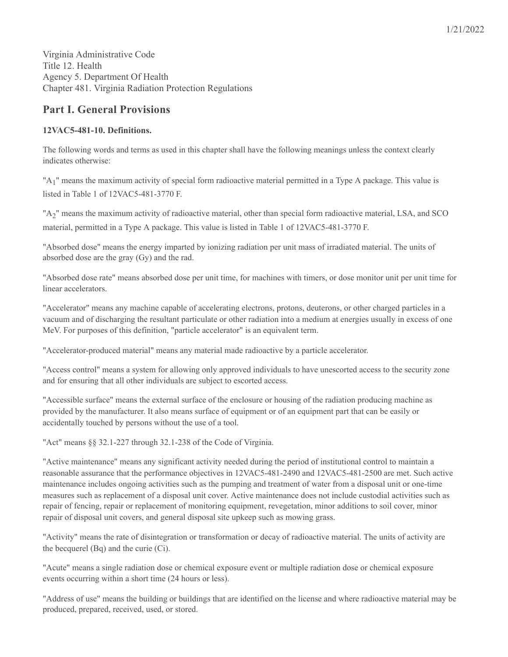Virginia Administrative Code Title 12. Health Agency 5. Department Of Health Chapter 481. Virginia Radiation Protection Regulations

# **Part I. General Provisions**

# **12VAC5-481-10. Definitions.**

The following words and terms as used in this chapter shall have the following meanings unless the context clearly indicates otherwise:

"A<sub>1</sub>" means the maximum activity of special form radioactive material permitted in a Type A package. This value is listed in Table 1 of 12VAC5-481-3770 F.

"A<sub>2</sub>" means the maximum activity of radioactive material, other than special form radioactive material, LSA, and SCO material, permitted in a Type A package. This value is listed in Table 1 of 12VAC5-481-3770 F.

"Absorbed dose" means the energy imparted by ionizing radiation per unit mass of irradiated material. The units of absorbed dose are the gray (Gy) and the rad.

"Absorbed dose rate" means absorbed dose per unit time, for machines with timers, or dose monitor unit per unit time for linear accelerators.

"Accelerator" means any machine capable of accelerating electrons, protons, deuterons, or other charged particles in a vacuum and of discharging the resultant particulate or other radiation into a medium at energies usually in excess of one MeV. For purposes of this definition, "particle accelerator" is an equivalent term.

"Accelerator-produced material" means any material made radioactive by a particle accelerator.

"Access control" means a system for allowing only approved individuals to have unescorted access to the security zone and for ensuring that all other individuals are subject to escorted access.

"Accessible surface" means the external surface of the enclosure or housing of the radiation producing machine as provided by the manufacturer. It also means surface of equipment or of an equipment part that can be easily or accidentally touched by persons without the use of a tool.

"Act" means §§ 32.1-227 through 32.1-238 of the Code of Virginia.

"Active maintenance" means any significant activity needed during the period of institutional control to maintain a reasonable assurance that the performance objectives in 12VAC5-481-2490 and 12VAC5-481-2500 are met. Such active maintenance includes ongoing activities such as the pumping and treatment of water from a disposal unit or one-time measures such as replacement of a disposal unit cover. Active maintenance does not include custodial activities such as repair of fencing, repair or replacement of monitoring equipment, revegetation, minor additions to soil cover, minor repair of disposal unit covers, and general disposal site upkeep such as mowing grass.

"Activity" means the rate of disintegration or transformation or decay of radioactive material. The units of activity are the becquerel (Bq) and the curie (Ci).

"Acute" means a single radiation dose or chemical exposure event or multiple radiation dose or chemical exposure events occurring within a short time (24 hours or less).

"Address of use" means the building or buildings that are identified on the license and where radioactive material may be produced, prepared, received, used, or stored.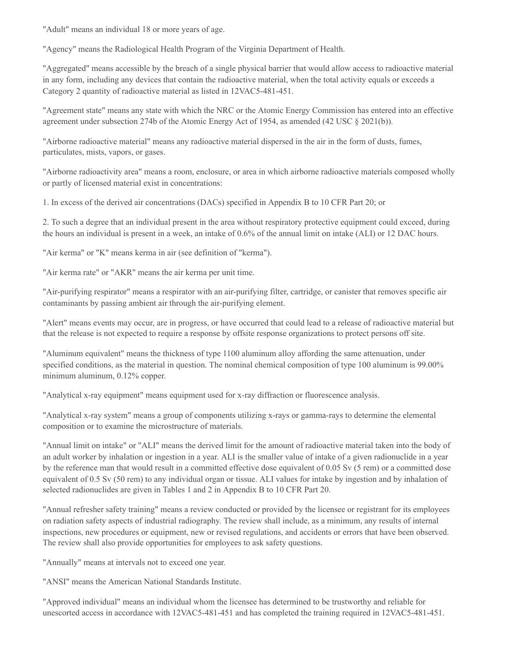"Adult" means an individual 18 or more years of age.

"Agency" means the Radiological Health Program of the Virginia Department of Health.

"Aggregated" means accessible by the breach of a single physical barrier that would allow access to radioactive material in any form, including any devices that contain the radioactive material, when the total activity equals or exceeds a Category 2 quantity of radioactive material as listed in 12VAC5-481-451.

"Agreement state" means any state with which the NRC or the Atomic Energy Commission has entered into an effective agreement under subsection 274b of the Atomic Energy Act of 1954, as amended (42 USC § 2021(b)).

"Airborne radioactive material" means any radioactive material dispersed in the air in the form of dusts, fumes, particulates, mists, vapors, or gases.

"Airborne radioactivity area" means a room, enclosure, or area in which airborne radioactive materials composed wholly or partly of licensed material exist in concentrations:

1. In excess of the derived air concentrations (DACs) specified in Appendix B to 10 CFR Part 20; or

2. To such a degree that an individual present in the area without respiratory protective equipment could exceed, during the hours an individual is present in a week, an intake of 0.6% of the annual limit on intake (ALI) or 12 DAC hours.

"Air kerma" or "K" means kerma in air (see definition of "kerma").

"Air kerma rate" or "AKR" means the air kerma per unit time.

"Air-purifying respirator" means a respirator with an air-purifying filter, cartridge, or canister that removes specific air contaminants by passing ambient air through the air-purifying element.

"Alert" means events may occur, are in progress, or have occurred that could lead to a release of radioactive material but that the release is not expected to require a response by offsite response organizations to protect persons off site.

"Aluminum equivalent" means the thickness of type 1100 aluminum alloy affording the same attenuation, under specified conditions, as the material in question. The nominal chemical composition of type 100 aluminum is 99.00% minimum aluminum, 0.12% copper.

"Analytical x-ray equipment" means equipment used for x-ray diffraction or fluorescence analysis.

"Analytical x-ray system" means a group of components utilizing x-rays or gamma-rays to determine the elemental composition or to examine the microstructure of materials.

"Annual limit on intake" or "ALI" means the derived limit for the amount of radioactive material taken into the body of an adult worker by inhalation or ingestion in a year. ALI is the smaller value of intake of a given radionuclide in a year by the reference man that would result in a committed effective dose equivalent of 0.05 Sv (5 rem) or a committed dose equivalent of 0.5 Sv (50 rem) to any individual organ or tissue. ALI values for intake by ingestion and by inhalation of selected radionuclides are given in Tables 1 and 2 in Appendix B to 10 CFR Part 20.

"Annual refresher safety training" means a review conducted or provided by the licensee or registrant for its employees on radiation safety aspects of industrial radiography. The review shall include, as a minimum, any results of internal inspections, new procedures or equipment, new or revised regulations, and accidents or errors that have been observed. The review shall also provide opportunities for employees to ask safety questions.

"Annually" means at intervals not to exceed one year.

"ANSI" means the American National Standards Institute.

"Approved individual" means an individual whom the licensee has determined to be trustworthy and reliable for unescorted access in accordance with 12VAC5-481-451 and has completed the training required in 12VAC5-481-451.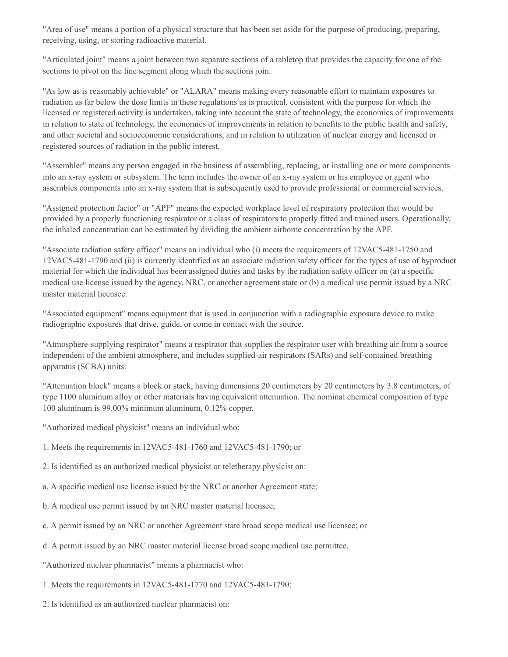"Area of use" means a portion of a physical structure that has been set aside for the purpose of producing, preparing, receiving, using, or storing radioactive material.

"Articulated joint" means a joint between two separate sections of a tabletop that provides the capacity for one of the sections to pivot on the line segment along which the sections join.

"As low as is reasonably achievable" or "ALARA" means making every reasonable effort to maintain exposures to radiation as far below the dose limits in these regulations as is practical, consistent with the purpose for which the licensed or registered activity is undertaken, taking into account the state of technology, the economics of improvements in relation to state of technology, the economics of improvements in relation to benefits to the public health and safety, and other societal and socioeconomic considerations, and in relation to utilization of nuclear energy and licensed or registered sources of radiation in the public interest.

"Assembler" means any person engaged in the business of assembling, replacing, or installing one or more components into an x-ray system or subsystem. The term includes the owner of an x-ray system or his employee or agent who assembles components into an x-ray system that is subsequently used to provide professional or commercial services.

"Assigned protection factor" or "APF" means the expected workplace level of respiratory protection that would be provided by a properly functioning respirator or a class of respirators to properly fitted and trained users. Operationally, the inhaled concentration can be estimated by dividing the ambient airborne concentration by the APF.

"Associate radiation safety officer" means an individual who (i) meets the requirements of 12VAC5-481-1750 and 12VAC5-481-1790 and (ii) is currently identified as an associate radiation safety officer for the types of use of byproduct material for which the individual has been assigned duties and tasks by the radiation safety officer on (a) a specific medical use license issued by the agency, NRC, or another agreement state or (b) a medical use permit issued by a NRC master material licensee.

"Associated equipment" means equipment that is used in conjunction with a radiographic exposure device to make radiographic exposures that drive, guide, or come in contact with the source.

"Atmosphere-supplying respirator" means a respirator that supplies the respirator user with breathing air from a source independent of the ambient atmosphere, and includes supplied-air respirators (SARs) and self-contained breathing apparatus (SCBA) units.

"Attenuation block" means a block or stack, having dimensions 20 centimeters by 20 centimeters by 3.8 centimeters, of type 1100 aluminum alloy or other materials having equivalent attenuation. The nominal chemical composition of type 100 aluminum is 99.00% minimum aluminum, 0.12% copper.

"Authorized medical physicist" means an individual who:

- 1. Meets the requirements in 12VAC5-481-1760 and 12VAC5-481-1790; or
- 2. Is identified as an authorized medical physicist or teletherapy physicist on:
- a. A specific medical use license issued by the NRC or another Agreement state;
- b. A medical use permit issued by an NRC master material licensee;
- c. A permit issued by an NRC or another Agreement state broad scope medical use licensee; or
- d. A permit issued by an NRC master material license broad scope medical use permittee.
- "Authorized nuclear pharmacist" means a pharmacist who:
- 1. Meets the requirements in 12VAC5-481-1770 and 12VAC5-481-1790;
- 2. Is identified as an authorized nuclear pharmacist on: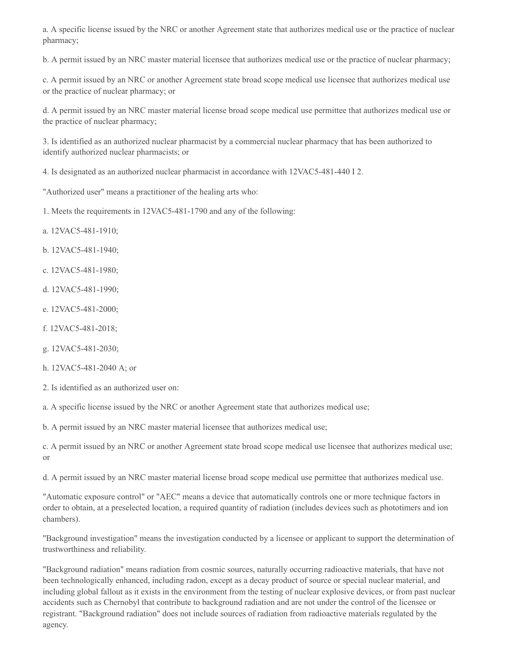a. A specific license issued by the NRC or another Agreement state that authorizes medical use or the practice of nuclear pharmacy;

b. A permit issued by an NRC master material licensee that authorizes medical use or the practice of nuclear pharmacy;

c. A permit issued by an NRC or another Agreement state broad scope medical use licensee that authorizes medical use or the practice of nuclear pharmacy; or

d. A permit issued by an NRC master material license broad scope medical use permittee that authorizes medical use or the practice of nuclear pharmacy;

3. Is identified as an authorized nuclear pharmacist by a commercial nuclear pharmacy that has been authorized to identify authorized nuclear pharmacists; or

4. Is designated as an authorized nuclear pharmacist in accordance with 12VAC5-481-440 I 2.

"Authorized user" means a practitioner of the healing arts who:

1. Meets the requirements in 12VAC5-481-1790 and any of the following:

- a. 12VAC5-481-1910;
- b. 12VAC5-481-1940;
- c. 12VAC5-481-1980;
- d. 12VAC5-481-1990;
- e. 12VAC5-481-2000;
- f. 12VAC5-481-2018;
- g. 12VAC5-481-2030;
- h. 12VAC5-481-2040 A; or
- 2. Is identified as an authorized user on:

a. A specific license issued by the NRC or another Agreement state that authorizes medical use;

b. A permit issued by an NRC master material licensee that authorizes medical use;

c. A permit issued by an NRC or another Agreement state broad scope medical use licensee that authorizes medical use; or

d. A permit issued by an NRC master material license broad scope medical use permittee that authorizes medical use.

"Automatic exposure control" or "AEC" means a device that automatically controls one or more technique factors in order to obtain, at a preselected location, a required quantity of radiation (includes devices such as phototimers and ion chambers).

"Background investigation" means the investigation conducted by a licensee or applicant to support the determination of trustworthiness and reliability.

"Background radiation" means radiation from cosmic sources, naturally occurring radioactive materials, that have not been technologically enhanced, including radon, except as a decay product of source or special nuclear material, and including global fallout as it exists in the environment from the testing of nuclear explosive devices, or from past nuclear accidents such as Chernobyl that contribute to background radiation and are not under the control of the licensee or registrant. "Background radiation" does not include sources of radiation from radioactive materials regulated by the agency.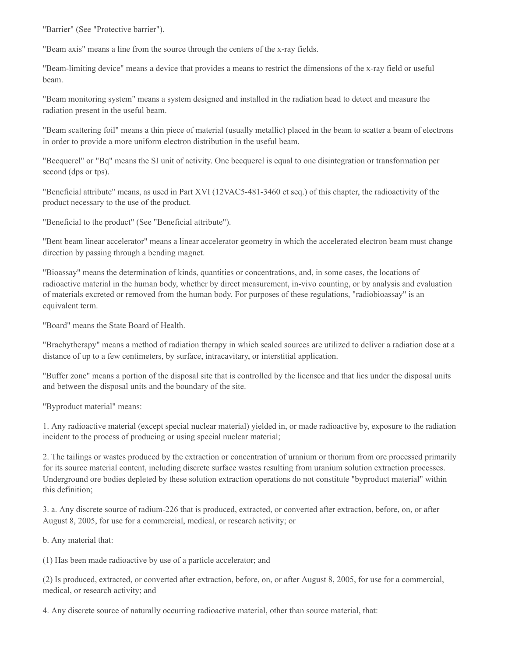"Barrier" (See "Protective barrier").

"Beam axis" means a line from the source through the centers of the x-ray fields.

"Beam-limiting device" means a device that provides a means to restrict the dimensions of the x-ray field or useful beam.

"Beam monitoring system" means a system designed and installed in the radiation head to detect and measure the radiation present in the useful beam.

"Beam scattering foil" means a thin piece of material (usually metallic) placed in the beam to scatter a beam of electrons in order to provide a more uniform electron distribution in the useful beam.

"Becquerel" or "Bq" means the SI unit of activity. One becquerel is equal to one disintegration or transformation per second (dps or tps).

"Beneficial attribute" means, as used in Part XVI (12VAC5-481-3460 et seq.) of this chapter, the radioactivity of the product necessary to the use of the product.

"Beneficial to the product" (See "Beneficial attribute").

"Bent beam linear accelerator" means a linear accelerator geometry in which the accelerated electron beam must change direction by passing through a bending magnet.

"Bioassay" means the determination of kinds, quantities or concentrations, and, in some cases, the locations of radioactive material in the human body, whether by direct measurement, in-vivo counting, or by analysis and evaluation of materials excreted or removed from the human body. For purposes of these regulations, "radiobioassay" is an equivalent term.

"Board" means the State Board of Health.

"Brachytherapy" means a method of radiation therapy in which sealed sources are utilized to deliver a radiation dose at a distance of up to a few centimeters, by surface, intracavitary, or interstitial application.

"Buffer zone" means a portion of the disposal site that is controlled by the licensee and that lies under the disposal units and between the disposal units and the boundary of the site.

"Byproduct material" means:

1. Any radioactive material (except special nuclear material) yielded in, or made radioactive by, exposure to the radiation incident to the process of producing or using special nuclear material;

2. The tailings or wastes produced by the extraction or concentration of uranium or thorium from ore processed primarily for its source material content, including discrete surface wastes resulting from uranium solution extraction processes. Underground ore bodies depleted by these solution extraction operations do not constitute "byproduct material" within this definition;

3. a. Any discrete source of radium-226 that is produced, extracted, or converted after extraction, before, on, or after August 8, 2005, for use for a commercial, medical, or research activity; or

b. Any material that:

(1) Has been made radioactive by use of a particle accelerator; and

(2) Is produced, extracted, or converted after extraction, before, on, or after August 8, 2005, for use for a commercial, medical, or research activity; and

4. Any discrete source of naturally occurring radioactive material, other than source material, that: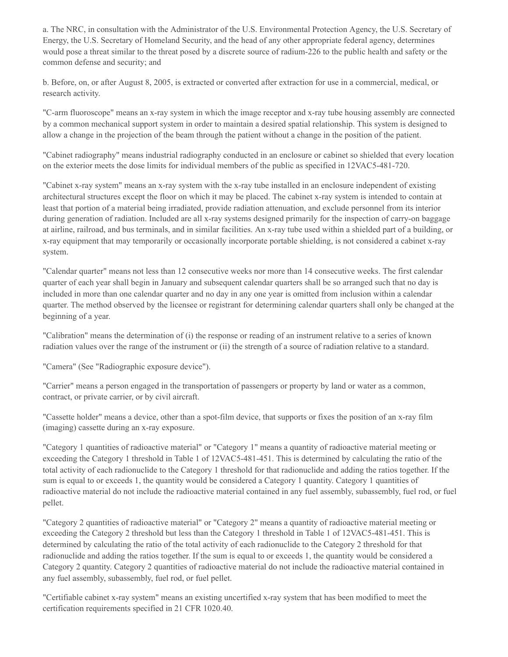a. The NRC, in consultation with the Administrator of the U.S. Environmental Protection Agency, the U.S. Secretary of Energy, the U.S. Secretary of Homeland Security, and the head of any other appropriate federal agency, determines would pose a threat similar to the threat posed by a discrete source of radium-226 to the public health and safety or the common defense and security; and

b. Before, on, or after August 8, 2005, is extracted or converted after extraction for use in a commercial, medical, or research activity.

"C-arm fluoroscope" means an x-ray system in which the image receptor and x-ray tube housing assembly are connected by a common mechanical support system in order to maintain a desired spatial relationship. This system is designed to allow a change in the projection of the beam through the patient without a change in the position of the patient.

"Cabinet radiography" means industrial radiography conducted in an enclosure or cabinet so shielded that every location on the exterior meets the dose limits for individual members of the public as specified in 12VAC5-481-720.

"Cabinet x-ray system" means an x-ray system with the x-ray tube installed in an enclosure independent of existing architectural structures except the floor on which it may be placed. The cabinet x-ray system is intended to contain at least that portion of a material being irradiated, provide radiation attenuation, and exclude personnel from its interior during generation of radiation. Included are all x-ray systems designed primarily for the inspection of carry-on baggage at airline, railroad, and bus terminals, and in similar facilities. An x-ray tube used within a shielded part of a building, or x-ray equipment that may temporarily or occasionally incorporate portable shielding, is not considered a cabinet x-ray system.

"Calendar quarter" means not less than 12 consecutive weeks nor more than 14 consecutive weeks. The first calendar quarter of each year shall begin in January and subsequent calendar quarters shall be so arranged such that no day is included in more than one calendar quarter and no day in any one year is omitted from inclusion within a calendar quarter. The method observed by the licensee or registrant for determining calendar quarters shall only be changed at the beginning of a year.

"Calibration" means the determination of (i) the response or reading of an instrument relative to a series of known radiation values over the range of the instrument or (ii) the strength of a source of radiation relative to a standard.

"Camera" (See "Radiographic exposure device").

"Carrier" means a person engaged in the transportation of passengers or property by land or water as a common, contract, or private carrier, or by civil aircraft.

"Cassette holder" means a device, other than a spot-film device, that supports or fixes the position of an x-ray film (imaging) cassette during an x-ray exposure.

"Category 1 quantities of radioactive material" or "Category 1" means a quantity of radioactive material meeting or exceeding the Category 1 threshold in Table 1 of 12VAC5-481-451. This is determined by calculating the ratio of the total activity of each radionuclide to the Category 1 threshold for that radionuclide and adding the ratios together. If the sum is equal to or exceeds 1, the quantity would be considered a Category 1 quantity. Category 1 quantities of radioactive material do not include the radioactive material contained in any fuel assembly, subassembly, fuel rod, or fuel pellet.

"Category 2 quantities of radioactive material" or "Category 2" means a quantity of radioactive material meeting or exceeding the Category 2 threshold but less than the Category 1 threshold in Table 1 of 12VAC5-481-451. This is determined by calculating the ratio of the total activity of each radionuclide to the Category 2 threshold for that radionuclide and adding the ratios together. If the sum is equal to or exceeds 1, the quantity would be considered a Category 2 quantity. Category 2 quantities of radioactive material do not include the radioactive material contained in any fuel assembly, subassembly, fuel rod, or fuel pellet.

"Certifiable cabinet x-ray system" means an existing uncertified x-ray system that has been modified to meet the certification requirements specified in 21 CFR 1020.40.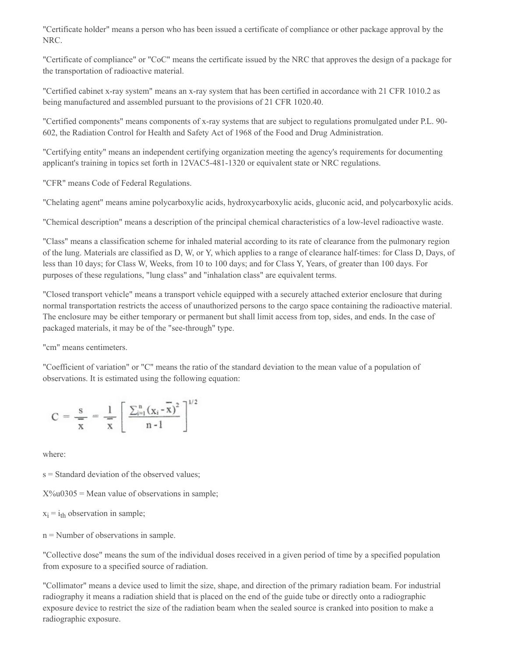"Certificate holder" means a person who has been issued a certificate of compliance or other package approval by the NRC.

"Certificate of compliance" or "CoC" means the certificate issued by the NRC that approves the design of a package for the transportation of radioactive material.

"Certified cabinet x-ray system" means an x-ray system that has been certified in accordance with 21 CFR 1010.2 as being manufactured and assembled pursuant to the provisions of 21 CFR 1020.40.

"Certified components" means components of x-ray systems that are subject to regulations promulgated under P.L. 90- 602, the Radiation Control for Health and Safety Act of 1968 of the Food and Drug Administration.

"Certifying entity" means an independent certifying organization meeting the agency's requirements for documenting applicant's training in topics set forth in 12VAC5-481-1320 or equivalent state or NRC regulations.

"CFR" means Code of Federal Regulations.

"Chelating agent" means amine polycarboxylic acids, hydroxycarboxylic acids, gluconic acid, and polycarboxylic acids.

"Chemical description" means a description of the principal chemical characteristics of a low-level radioactive waste.

"Class" means a classification scheme for inhaled material according to its rate of clearance from the pulmonary region of the lung. Materials are classified as D, W, or Y, which applies to a range of clearance half-times: for Class D, Days, of less than 10 days; for Class W, Weeks, from 10 to 100 days; and for Class Y, Years, of greater than 100 days. For purposes of these regulations, "lung class" and "inhalation class" are equivalent terms.

"Closed transport vehicle" means a transport vehicle equipped with a securely attached exterior enclosure that during normal transportation restricts the access of unauthorized persons to the cargo space containing the radioactive material. The enclosure may be either temporary or permanent but shall limit access from top, sides, and ends. In the case of packaged materials, it may be of the "see-through" type.

"cm" means centimeters.

"Coefficient of variation" or "C" means the ratio of the standard deviation to the mean value of a population of observations. It is estimated using the following equation:

$$
C=\frac{s}{x}\,=\,\frac{1}{x}\left[\,\frac{\sum_{i=1}^n\left(x_i-\overline{x}\right)^2}{n-1}\,\right]^{1/2}
$$

where:

s = Standard deviation of the observed values;

 $X\%u0305$  = Mean value of observations in sample;

 $x_i = i_{th}$  observation in sample;

n = Number of observations in sample.

"Collective dose" means the sum of the individual doses received in a given period of time by a specified population from exposure to a specified source of radiation.

"Collimator" means a device used to limit the size, shape, and direction of the primary radiation beam. For industrial radiography it means a radiation shield that is placed on the end of the guide tube or directly onto a radiographic exposure device to restrict the size of the radiation beam when the sealed source is cranked into position to make a radiographic exposure.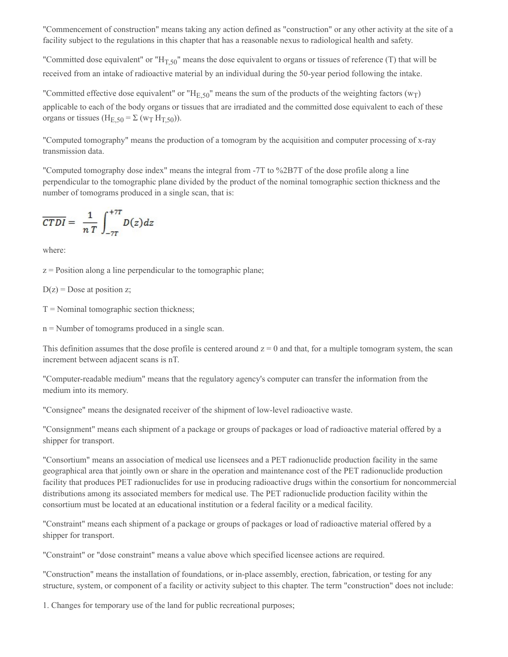"Commencement of construction" means taking any action defined as "construction" or any other activity at the site of a facility subject to the regulations in this chapter that has a reasonable nexus to radiological health and safety.

"Committed dose equivalent" or " $H_{T,50}$ " means the dose equivalent to organs or tissues of reference (T) that will be received from an intake of radioactive material by an individual during the 50-year period following the intake.

"Committed effective dose equivalent" or " $H_{E,50}$ " means the sum of the products of the weighting factors ( $w_T$ ) applicable to each of the body organs or tissues that are irradiated and the committed dose equivalent to each of these organs or tissues  $(H<sub>E,50</sub> = \Sigma (w<sub>T</sub> H<sub>T,50</sub>)).$ 

"Computed tomography" means the production of a tomogram by the acquisition and computer processing of x-ray transmission data.

"Computed tomography dose index" means the integral from -7T to %2B7T of the dose profile along a line perpendicular to the tomographic plane divided by the product of the nominal tomographic section thickness and the number of tomograms produced in a single scan, that is:

$$
\overline{CTDI} = \frac{1}{nT} \int_{-7T}^{+7T} D(z) dz
$$

where:

 $z =$  Position along a line perpendicular to the tomographic plane;

 $D(z)$  = Dose at position z;

 $T =$  Nominal tomographic section thickness;

n = Number of tomograms produced in a single scan.

This definition assumes that the dose profile is centered around  $z = 0$  and that, for a multiple tomogram system, the scan increment between adjacent scans is nT.

"Computer-readable medium" means that the regulatory agency's computer can transfer the information from the medium into its memory.

"Consignee" means the designated receiver of the shipment of low-level radioactive waste.

"Consignment" means each shipment of a package or groups of packages or load of radioactive material offered by a shipper for transport.

"Consortium" means an association of medical use licensees and a PET radionuclide production facility in the same geographical area that jointly own or share in the operation and maintenance cost of the PET radionuclide production facility that produces PET radionuclides for use in producing radioactive drugs within the consortium for noncommercial distributions among its associated members for medical use. The PET radionuclide production facility within the consortium must be located at an educational institution or a federal facility or a medical facility.

"Constraint" means each shipment of a package or groups of packages or load of radioactive material offered by a shipper for transport.

"Constraint" or "dose constraint" means a value above which specified licensee actions are required.

"Construction" means the installation of foundations, or in-place assembly, erection, fabrication, or testing for any structure, system, or component of a facility or activity subject to this chapter. The term "construction" does not include:

1. Changes for temporary use of the land for public recreational purposes;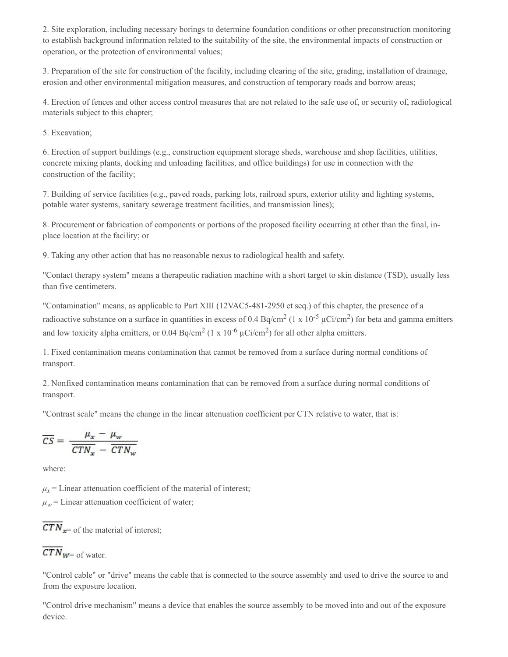2. Site exploration, including necessary borings to determine foundation conditions or other preconstruction monitoring to establish background information related to the suitability of the site, the environmental impacts of construction or operation, or the protection of environmental values;

3. Preparation of the site for construction of the facility, including clearing of the site, grading, installation of drainage, erosion and other environmental mitigation measures, and construction of temporary roads and borrow areas;

4. Erection of fences and other access control measures that are not related to the safe use of, or security of, radiological materials subject to this chapter;

5. Excavation;

6. Erection of support buildings (e.g., construction equipment storage sheds, warehouse and shop facilities, utilities, concrete mixing plants, docking and unloading facilities, and office buildings) for use in connection with the construction of the facility;

7. Building of service facilities (e.g., paved roads, parking lots, railroad spurs, exterior utility and lighting systems, potable water systems, sanitary sewerage treatment facilities, and transmission lines);

8. Procurement or fabrication of components or portions of the proposed facility occurring at other than the final, inplace location at the facility; or

9. Taking any other action that has no reasonable nexus to radiological health and safety.

"Contact therapy system" means a therapeutic radiation machine with a short target to skin distance (TSD), usually less than five centimeters.

"Contamination" means, as applicable to Part XIII (12VAC5-481-2950 et seq.) of this chapter, the presence of a radioactive substance on a surface in quantities in excess of 0.4 Bq/cm<sup>2</sup> (1 x 10<sup>-5</sup>  $\mu$ Ci/cm<sup>2</sup>) for beta and gamma emitters and low toxicity alpha emitters, or 0.04 Bq/cm<sup>2</sup> (1 x 10<sup>-6</sup>  $\mu$ Ci/cm<sup>2</sup>) for all other alpha emitters.

1. Fixed contamination means contamination that cannot be removed from a surface during normal conditions of transport.

2. Nonfixed contamination means contamination that can be removed from a surface during normal conditions of transport.

"Contrast scale" means the change in the linear attenuation coefficient per CTN relative to water, that is:

$$
\overline{CS} = \frac{\mu_x - \mu_w}{\overline{CTN_x} - \overline{CTN_w}}
$$

where:

 $\mu$ <sub>*x*</sub> = Linear attenuation coefficient of the material of interest;

 $\mu_w$  = Linear attenuation coefficient of water;

 $\overline{CTN}_{x=0}$  of the material of interest;

# $\overline{CTN}_{W^-}$  of water.

"Control cable" or "drive" means the cable that is connected to the source assembly and used to drive the source to and from the exposure location.

"Control drive mechanism" means a device that enables the source assembly to be moved into and out of the exposure device.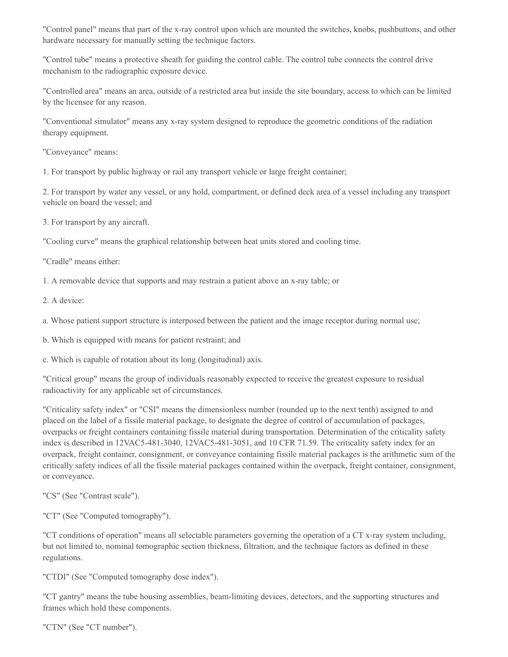"Control panel" means that part of the x-ray control upon which are mounted the switches, knobs, pushbuttons, and other hardware necessary for manually setting the technique factors.

"Control tube" means a protective sheath for guiding the control cable. The control tube connects the control drive mechanism to the radiographic exposure device.

"Controlled area" means an area, outside of a restricted area but inside the site boundary, access to which can be limited by the licensee for any reason.

"Conventional simulator" means any x-ray system designed to reproduce the geometric conditions of the radiation therapy equipment.

"Conveyance" means:

1. For transport by public highway or rail any transport vehicle or large freight container;

2. For transport by water any vessel, or any hold, compartment, or defined deck area of a vessel including any transport vehicle on board the vessel; and

3. For transport by any aircraft.

"Cooling curve" means the graphical relationship between heat units stored and cooling time.

"Cradle" means either:

1. A removable device that supports and may restrain a patient above an x-ray table; or

2. A device:

a. Whose patient support structure is interposed between the patient and the image receptor during normal use;

b. Which is equipped with means for patient restraint; and

c. Which is capable of rotation about its long (longitudinal) axis.

"Critical group" means the group of individuals reasonably expected to receive the greatest exposure to residual radioactivity for any applicable set of circumstances.

"Criticality safety index" or "CSI" means the dimensionless number (rounded up to the next tenth) assigned to and placed on the label of a fissile material package, to designate the degree of control of accumulation of packages, overpacks or freight containers containing fissile material during transportation. Determination of the criticality safety index is described in 12VAC5-481-3040, 12VAC5-481-3051, and 10 CFR 71.59. The criticality safety index for an overpack, freight container, consignment, or conveyance containing fissile material packages is the arithmetic sum of the critically safety indices of all the fissile material packages contained within the overpack, freight container, consignment, or conveyance.

"CS" (See "Contrast scale").

"CT" (See "Computed tomography").

"CT conditions of operation" means all selectable parameters governing the operation of a CT x-ray system including, but not limited to, nominal tomographic section thickness, filtration, and the technique factors as defined in these regulations.

"CTDI" (See "Computed tomography dose index").

"CT gantry" means the tube housing assemblies, beam-limiting devices, detectors, and the supporting structures and frames which hold these components.

"CTN" (See "CT number").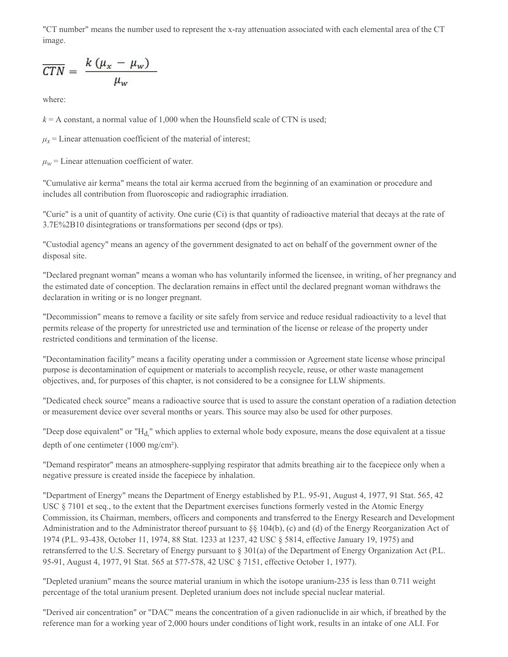"CT number" means the number used to represent the x-ray attenuation associated with each elemental area of the CT image.

$$
\overline{CTN} = \frac{k(\mu_x - \mu_w)}{\mu_w}
$$

where:

 $k = A$  constant, a normal value of 1,000 when the Hounsfield scale of CTN is used;

 $\mu_x$  = Linear attenuation coefficient of the material of interest;

 $\mu_w$  = Linear attenuation coefficient of water.

"Cumulative air kerma" means the total air kerma accrued from the beginning of an examination or procedure and includes all contribution from fluoroscopic and radiographic irradiation.

"Curie" is a unit of quantity of activity. One curie (Ci) is that quantity of radioactive material that decays at the rate of 3.7E%2B10 disintegrations or transformations per second (dps or tps).

"Custodial agency" means an agency of the government designated to act on behalf of the government owner of the disposal site.

"Declared pregnant woman" means a woman who has voluntarily informed the licensee, in writing, of her pregnancy and the estimated date of conception. The declaration remains in effect until the declared pregnant woman withdraws the declaration in writing or is no longer pregnant.

"Decommission" means to remove a facility or site safely from service and reduce residual radioactivity to a level that permits release of the property for unrestricted use and termination of the license or release of the property under restricted conditions and termination of the license.

"Decontamination facility" means a facility operating under a commission or Agreement state license whose principal purpose is decontamination of equipment or materials to accomplish recycle, reuse, or other waste management objectives, and, for purposes of this chapter, is not considered to be a consignee for LLW shipments.

"Dedicated check source" means a radioactive source that is used to assure the constant operation of a radiation detection or measurement device over several months or years. This source may also be used for other purposes.

"Deep dose equivalent" or " $H_d$ ," which applies to external whole body exposure, means the dose equivalent at a tissue depth of one centimeter (1000 mg/cm²).

"Demand respirator" means an atmosphere-supplying respirator that admits breathing air to the facepiece only when a negative pressure is created inside the facepiece by inhalation.

"Department of Energy" means the Department of Energy established by P.L. 95-91, August 4, 1977, 91 Stat. 565, 42 USC § 7101 et seq., to the extent that the Department exercises functions formerly vested in the Atomic Energy Commission, its Chairman, members, officers and components and transferred to the Energy Research and Development Administration and to the Administrator thereof pursuant to §§ 104(b), (c) and (d) of the Energy Reorganization Act of 1974 (P.L. 93-438, October 11, 1974, 88 Stat. 1233 at 1237, 42 USC § 5814, effective January 19, 1975) and retransferred to the U.S. Secretary of Energy pursuant to § 301(a) of the Department of Energy Organization Act (P.L. 95-91, August 4, 1977, 91 Stat. 565 at 577-578, 42 USC § 7151, effective October 1, 1977).

"Depleted uranium" means the source material uranium in which the isotope uranium-235 is less than 0.711 weight percentage of the total uranium present. Depleted uranium does not include special nuclear material.

"Derived air concentration" or "DAC" means the concentration of a given radionuclide in air which, if breathed by the reference man for a working year of 2,000 hours under conditions of light work, results in an intake of one ALI. For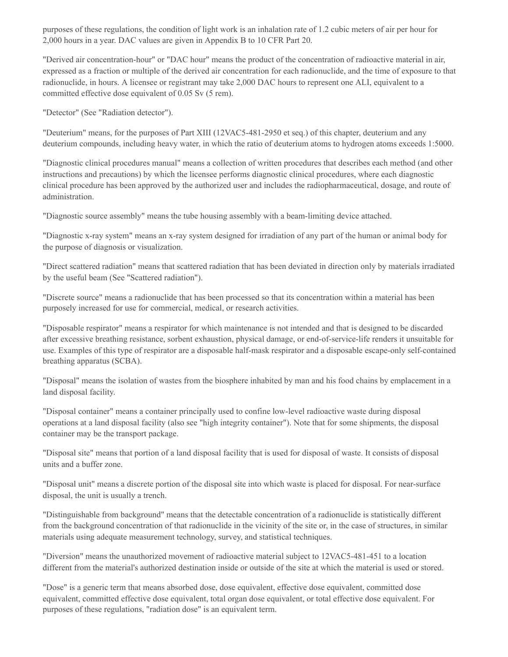purposes of these regulations, the condition of light work is an inhalation rate of 1.2 cubic meters of air per hour for 2,000 hours in a year. DAC values are given in Appendix B to 10 CFR Part 20.

"Derived air concentration-hour" or "DAC hour" means the product of the concentration of radioactive material in air, expressed as a fraction or multiple of the derived air concentration for each radionuclide, and the time of exposure to that radionuclide, in hours. A licensee or registrant may take 2,000 DAC hours to represent one ALI, equivalent to a committed effective dose equivalent of 0.05 Sv (5 rem).

"Detector" (See "Radiation detector").

"Deuterium" means, for the purposes of Part XIII (12VAC5-481-2950 et seq.) of this chapter, deuterium and any deuterium compounds, including heavy water, in which the ratio of deuterium atoms to hydrogen atoms exceeds 1:5000.

"Diagnostic clinical procedures manual" means a collection of written procedures that describes each method (and other instructions and precautions) by which the licensee performs diagnostic clinical procedures, where each diagnostic clinical procedure has been approved by the authorized user and includes the radiopharmaceutical, dosage, and route of administration.

"Diagnostic source assembly" means the tube housing assembly with a beam-limiting device attached.

"Diagnostic x-ray system" means an x-ray system designed for irradiation of any part of the human or animal body for the purpose of diagnosis or visualization.

"Direct scattered radiation" means that scattered radiation that has been deviated in direction only by materials irradiated by the useful beam (See "Scattered radiation").

"Discrete source" means a radionuclide that has been processed so that its concentration within a material has been purposely increased for use for commercial, medical, or research activities.

"Disposable respirator" means a respirator for which maintenance is not intended and that is designed to be discarded after excessive breathing resistance, sorbent exhaustion, physical damage, or end-of-service-life renders it unsuitable for use. Examples of this type of respirator are a disposable half-mask respirator and a disposable escape-only self-contained breathing apparatus (SCBA).

"Disposal" means the isolation of wastes from the biosphere inhabited by man and his food chains by emplacement in a land disposal facility.

"Disposal container" means a container principally used to confine low-level radioactive waste during disposal operations at a land disposal facility (also see "high integrity container"). Note that for some shipments, the disposal container may be the transport package.

"Disposal site" means that portion of a land disposal facility that is used for disposal of waste. It consists of disposal units and a buffer zone.

"Disposal unit" means a discrete portion of the disposal site into which waste is placed for disposal. For near-surface disposal, the unit is usually a trench.

"Distinguishable from background" means that the detectable concentration of a radionuclide is statistically different from the background concentration of that radionuclide in the vicinity of the site or, in the case of structures, in similar materials using adequate measurement technology, survey, and statistical techniques.

"Diversion" means the unauthorized movement of radioactive material subject to 12VAC5-481-451 to a location different from the material's authorized destination inside or outside of the site at which the material is used or stored.

"Dose" is a generic term that means absorbed dose, dose equivalent, effective dose equivalent, committed dose equivalent, committed effective dose equivalent, total organ dose equivalent, or total effective dose equivalent. For purposes of these regulations, "radiation dose" is an equivalent term.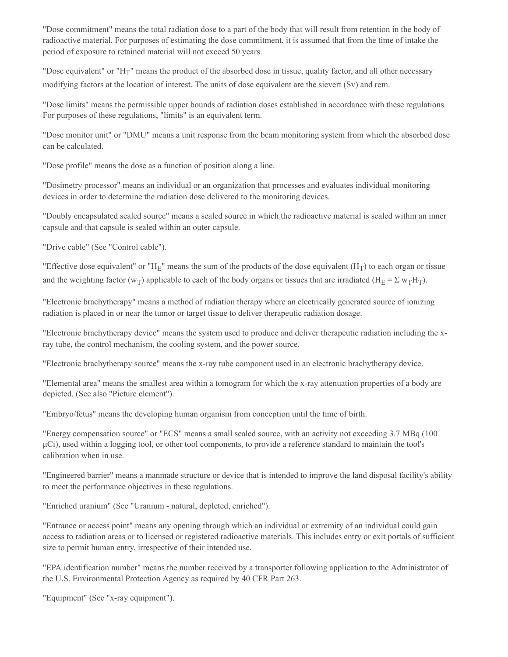"Dose commitment" means the total radiation dose to a part of the body that will result from retention in the body of radioactive material. For purposes of estimating the dose commitment, it is assumed that from the time of intake the period of exposure to retained material will not exceed 50 years.

"Dose equivalent" or "H<sub>T</sub>" means the product of the absorbed dose in tissue, quality factor, and all other necessary modifying factors at the location of interest. The units of dose equivalent are the sievert (Sv) and rem.

"Dose limits" means the permissible upper bounds of radiation doses established in accordance with these regulations. For purposes of these regulations, "limits" is an equivalent term.

"Dose monitor unit" or "DMU" means a unit response from the beam monitoring system from which the absorbed dose can be calculated.

"Dose profile" means the dose as a function of position along a line.

"Dosimetry processor" means an individual or an organization that processes and evaluates individual monitoring devices in order to determine the radiation dose delivered to the monitoring devices.

"Doubly encapsulated sealed source" means a sealed source in which the radioactive material is sealed within an inner capsule and that capsule is sealed within an outer capsule.

"Drive cable" (See "Control cable").

"Effective dose equivalent" or "H<sub>E</sub>" means the sum of the products of the dose equivalent (H<sub>T</sub>) to each organ or tissue and the weighting factor (w<sub>T</sub>) applicable to each of the body organs or tissues that are irradiated (H<sub>E</sub> =  $\Sigma$  w<sub>T</sub>H<sub>T</sub>).

"Electronic brachytherapy" means a method of radiation therapy where an electrically generated source of ionizing radiation is placed in or near the tumor or target tissue to deliver therapeutic radiation dosage.

"Electronic brachytherapy device" means the system used to produce and deliver therapeutic radiation including the xray tube, the control mechanism, the cooling system, and the power source.

"Electronic brachytherapy source" means the x-ray tube component used in an electronic brachytherapy device.

"Elemental area" means the smallest area within a tomogram for which the x-ray attenuation properties of a body are depicted. (See also "Picture element").

"Embryo/fetus" means the developing human organism from conception until the time of birth.

"Energy compensation source" or "ECS" means a small sealed source, with an activity not exceeding 3.7 MBq (100 μCi), used within a logging tool, or other tool components, to provide a reference standard to maintain the tool's calibration when in use.

"Engineered barrier" means a manmade structure or device that is intended to improve the land disposal facility's ability to meet the performance objectives in these regulations.

"Enriched uranium" (See "Uranium - natural, depleted, enriched").

"Entrance or access point" means any opening through which an individual or extremity of an individual could gain access to radiation areas or to licensed or registered radioactive materials. This includes entry or exit portals of sufficient size to permit human entry, irrespective of their intended use.

"EPA identification number" means the number received by a transporter following application to the Administrator of the U.S. Environmental Protection Agency as required by 40 CFR Part 263.

"Equipment" (See "x-ray equipment").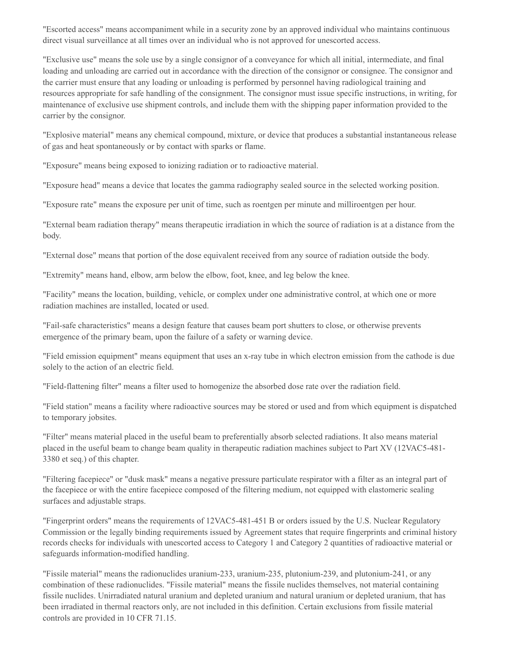"Escorted access" means accompaniment while in a security zone by an approved individual who maintains continuous direct visual surveillance at all times over an individual who is not approved for unescorted access.

"Exclusive use" means the sole use by a single consignor of a conveyance for which all initial, intermediate, and final loading and unloading are carried out in accordance with the direction of the consignor or consignee. The consignor and the carrier must ensure that any loading or unloading is performed by personnel having radiological training and resources appropriate for safe handling of the consignment. The consignor must issue specific instructions, in writing, for maintenance of exclusive use shipment controls, and include them with the shipping paper information provided to the carrier by the consignor.

"Explosive material" means any chemical compound, mixture, or device that produces a substantial instantaneous release of gas and heat spontaneously or by contact with sparks or flame.

"Exposure" means being exposed to ionizing radiation or to radioactive material.

"Exposure head" means a device that locates the gamma radiography sealed source in the selected working position.

"Exposure rate" means the exposure per unit of time, such as roentgen per minute and milliroentgen per hour.

"External beam radiation therapy" means therapeutic irradiation in which the source of radiation is at a distance from the body.

"External dose" means that portion of the dose equivalent received from any source of radiation outside the body.

"Extremity" means hand, elbow, arm below the elbow, foot, knee, and leg below the knee.

"Facility" means the location, building, vehicle, or complex under one administrative control, at which one or more radiation machines are installed, located or used.

"Fail-safe characteristics" means a design feature that causes beam port shutters to close, or otherwise prevents emergence of the primary beam, upon the failure of a safety or warning device.

"Field emission equipment" means equipment that uses an x-ray tube in which electron emission from the cathode is due solely to the action of an electric field.

"Field-flattening filter" means a filter used to homogenize the absorbed dose rate over the radiation field.

"Field station" means a facility where radioactive sources may be stored or used and from which equipment is dispatched to temporary jobsites.

"Filter" means material placed in the useful beam to preferentially absorb selected radiations. It also means material placed in the useful beam to change beam quality in therapeutic radiation machines subject to Part XV (12VAC5-481- 3380 et seq.) of this chapter.

"Filtering facepiece" or "dusk mask" means a negative pressure particulate respirator with a filter as an integral part of the facepiece or with the entire facepiece composed of the filtering medium, not equipped with elastomeric sealing surfaces and adjustable straps.

"Fingerprint orders" means the requirements of 12VAC5-481-451 B or orders issued by the U.S. Nuclear Regulatory Commission or the legally binding requirements issued by Agreement states that require fingerprints and criminal history records checks for individuals with unescorted access to Category 1 and Category 2 quantities of radioactive material or safeguards information-modified handling.

"Fissile material" means the radionuclides uranium-233, uranium-235, plutonium-239, and plutonium-241, or any combination of these radionuclides. "Fissile material" means the fissile nuclides themselves, not material containing fissile nuclides. Unirradiated natural uranium and depleted uranium and natural uranium or depleted uranium, that has been irradiated in thermal reactors only, are not included in this definition. Certain exclusions from fissile material controls are provided in 10 CFR 71.15.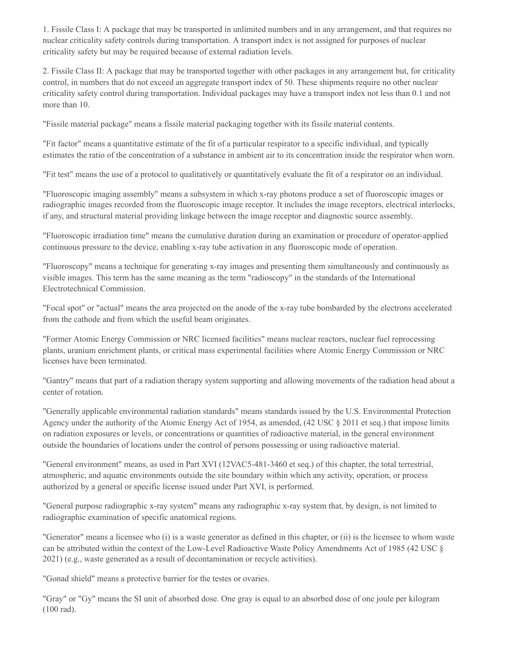1. Fissile Class I: A package that may be transported in unlimited numbers and in any arrangement, and that requires no nuclear criticality safety controls during transportation. A transport index is not assigned for purposes of nuclear criticality safety but may be required because of external radiation levels.

2. Fissile Class II: A package that may be transported together with other packages in any arrangement but, for criticality control, in numbers that do not exceed an aggregate transport index of 50. These shipments require no other nuclear criticality safety control during transportation. Individual packages may have a transport index not less than 0.1 and not more than 10.

"Fissile material package" means a fissile material packaging together with its fissile material contents.

"Fit factor" means a quantitative estimate of the fit of a particular respirator to a specific individual, and typically estimates the ratio of the concentration of a substance in ambient air to its concentration inside the respirator when worn.

"Fit test" means the use of a protocol to qualitatively or quantitatively evaluate the fit of a respirator on an individual.

"Fluoroscopic imaging assembly" means a subsystem in which x-ray photons produce a set of fluoroscopic images or radiographic images recorded from the fluoroscopic image receptor. It includes the image receptors, electrical interlocks, if any, and structural material providing linkage between the image receptor and diagnostic source assembly.

"Fluoroscopic irradiation time" means the cumulative duration during an examination or procedure of operator-applied continuous pressure to the device, enabling x-ray tube activation in any fluoroscopic mode of operation.

"Fluoroscopy" means a technique for generating x-ray images and presenting them simultaneously and continuously as visible images. This term has the same meaning as the term "radioscopy" in the standards of the International Electrotechnical Commission.

"Focal spot" or "actual" means the area projected on the anode of the x-ray tube bombarded by the electrons accelerated from the cathode and from which the useful beam originates.

"Former Atomic Energy Commission or NRC licensed facilities" means nuclear reactors, nuclear fuel reprocessing plants, uranium enrichment plants, or critical mass experimental facilities where Atomic Energy Commission or NRC licenses have been terminated.

"Gantry" means that part of a radiation therapy system supporting and allowing movements of the radiation head about a center of rotation.

"Generally applicable environmental radiation standards" means standards issued by the U.S. Environmental Protection Agency under the authority of the Atomic Energy Act of 1954, as amended, (42 USC § 2011 et seq.) that impose limits on radiation exposures or levels, or concentrations or quantities of radioactive material, in the general environment outside the boundaries of locations under the control of persons possessing or using radioactive material.

"General environment" means, as used in Part XVI (12VAC5-481-3460 et seq.) of this chapter, the total terrestrial, atmospheric, and aquatic environments outside the site boundary within which any activity, operation, or process authorized by a general or specific license issued under Part XVI, is performed.

"General purpose radiographic x-ray system" means any radiographic x-ray system that, by design, is not limited to radiographic examination of specific anatomical regions.

"Generator" means a licensee who (i) is a waste generator as defined in this chapter, or (ii) is the licensee to whom waste can be attributed within the context of the Low-Level Radioactive Waste Policy Amendments Act of 1985 (42 USC § 2021) (e.g., waste generated as a result of decontamination or recycle activities).

"Gonad shield" means a protective barrier for the testes or ovaries.

"Gray" or "Gy" means the SI unit of absorbed dose. One gray is equal to an absorbed dose of one joule per kilogram (100 rad).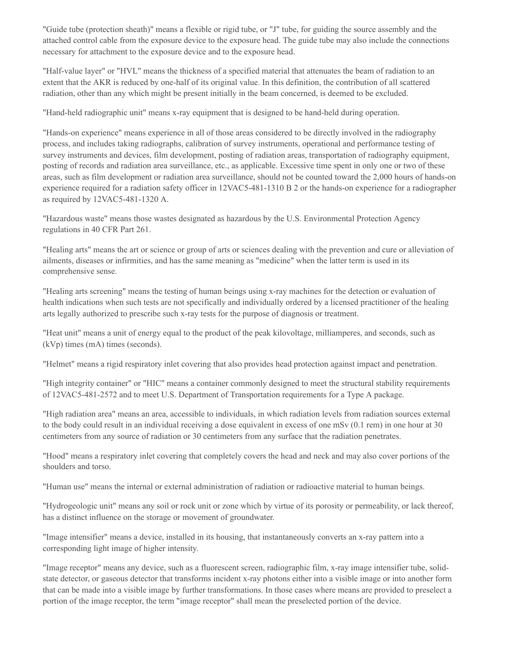"Guide tube (protection sheath)" means a flexible or rigid tube, or "J" tube, for guiding the source assembly and the attached control cable from the exposure device to the exposure head. The guide tube may also include the connections necessary for attachment to the exposure device and to the exposure head.

"Half-value layer" or "HVL" means the thickness of a specified material that attenuates the beam of radiation to an extent that the AKR is reduced by one-half of its original value. In this definition, the contribution of all scattered radiation, other than any which might be present initially in the beam concerned, is deemed to be excluded.

"Hand-held radiographic unit" means x-ray equipment that is designed to be hand-held during operation.

"Hands-on experience" means experience in all of those areas considered to be directly involved in the radiography process, and includes taking radiographs, calibration of survey instruments, operational and performance testing of survey instruments and devices, film development, posting of radiation areas, transportation of radiography equipment, posting of records and radiation area surveillance, etc., as applicable. Excessive time spent in only one or two of these areas, such as film development or radiation area surveillance, should not be counted toward the 2,000 hours of hands-on experience required for a radiation safety officer in 12VAC5-481-1310 B 2 or the hands-on experience for a radiographer as required by 12VAC5-481-1320 A.

"Hazardous waste" means those wastes designated as hazardous by the U.S. Environmental Protection Agency regulations in 40 CFR Part 261.

"Healing arts" means the art or science or group of arts or sciences dealing with the prevention and cure or alleviation of ailments, diseases or infirmities, and has the same meaning as "medicine" when the latter term is used in its comprehensive sense.

"Healing arts screening" means the testing of human beings using x-ray machines for the detection or evaluation of health indications when such tests are not specifically and individually ordered by a licensed practitioner of the healing arts legally authorized to prescribe such x-ray tests for the purpose of diagnosis or treatment.

"Heat unit" means a unit of energy equal to the product of the peak kilovoltage, milliamperes, and seconds, such as (kVp) times (mA) times (seconds).

"Helmet" means a rigid respiratory inlet covering that also provides head protection against impact and penetration.

"High integrity container" or "HIC" means a container commonly designed to meet the structural stability requirements of 12VAC5-481-2572 and to meet U.S. Department of Transportation requirements for a Type A package.

"High radiation area" means an area, accessible to individuals, in which radiation levels from radiation sources external to the body could result in an individual receiving a dose equivalent in excess of one mSv (0.1 rem) in one hour at 30 centimeters from any source of radiation or 30 centimeters from any surface that the radiation penetrates.

"Hood" means a respiratory inlet covering that completely covers the head and neck and may also cover portions of the shoulders and torso.

"Human use" means the internal or external administration of radiation or radioactive material to human beings.

"Hydrogeologic unit" means any soil or rock unit or zone which by virtue of its porosity or permeability, or lack thereof, has a distinct influence on the storage or movement of groundwater.

"Image intensifier" means a device, installed in its housing, that instantaneously converts an x-ray pattern into a corresponding light image of higher intensity.

"Image receptor" means any device, such as a fluorescent screen, radiographic film, x-ray image intensifier tube, solidstate detector, or gaseous detector that transforms incident x-ray photons either into a visible image or into another form that can be made into a visible image by further transformations. In those cases where means are provided to preselect a portion of the image receptor, the term "image receptor" shall mean the preselected portion of the device.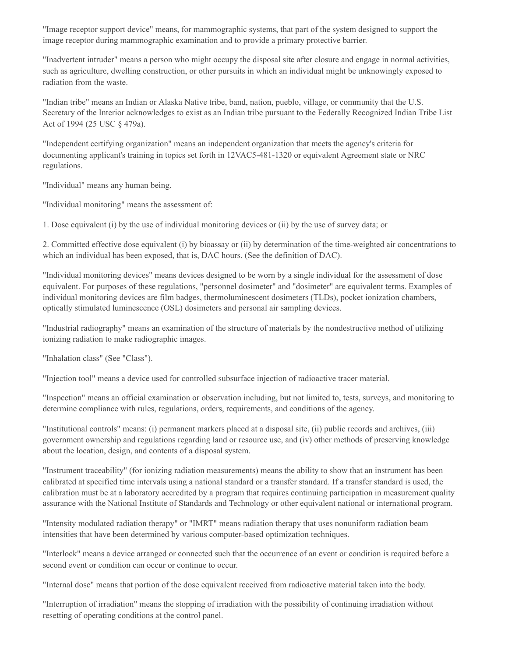"Image receptor support device" means, for mammographic systems, that part of the system designed to support the image receptor during mammographic examination and to provide a primary protective barrier.

"Inadvertent intruder" means a person who might occupy the disposal site after closure and engage in normal activities, such as agriculture, dwelling construction, or other pursuits in which an individual might be unknowingly exposed to radiation from the waste.

"Indian tribe" means an Indian or Alaska Native tribe, band, nation, pueblo, village, or community that the U.S. Secretary of the Interior acknowledges to exist as an Indian tribe pursuant to the Federally Recognized Indian Tribe List Act of 1994 (25 USC § 479a).

"Independent certifying organization" means an independent organization that meets the agency's criteria for documenting applicant's training in topics set forth in 12VAC5-481-1320 or equivalent Agreement state or NRC regulations.

"Individual" means any human being.

"Individual monitoring" means the assessment of:

1. Dose equivalent (i) by the use of individual monitoring devices or (ii) by the use of survey data; or

2. Committed effective dose equivalent (i) by bioassay or (ii) by determination of the time-weighted air concentrations to which an individual has been exposed, that is, DAC hours. (See the definition of DAC).

"Individual monitoring devices" means devices designed to be worn by a single individual for the assessment of dose equivalent. For purposes of these regulations, "personnel dosimeter" and "dosimeter" are equivalent terms. Examples of individual monitoring devices are film badges, thermoluminescent dosimeters (TLDs), pocket ionization chambers, optically stimulated luminescence (OSL) dosimeters and personal air sampling devices.

"Industrial radiography" means an examination of the structure of materials by the nondestructive method of utilizing ionizing radiation to make radiographic images.

"Inhalation class" (See "Class").

"Injection tool" means a device used for controlled subsurface injection of radioactive tracer material.

"Inspection" means an official examination or observation including, but not limited to, tests, surveys, and monitoring to determine compliance with rules, regulations, orders, requirements, and conditions of the agency.

"Institutional controls" means: (i) permanent markers placed at a disposal site, (ii) public records and archives, (iii) government ownership and regulations regarding land or resource use, and (iv) other methods of preserving knowledge about the location, design, and contents of a disposal system.

"Instrument traceability" (for ionizing radiation measurements) means the ability to show that an instrument has been calibrated at specified time intervals using a national standard or a transfer standard. If a transfer standard is used, the calibration must be at a laboratory accredited by a program that requires continuing participation in measurement quality assurance with the National Institute of Standards and Technology or other equivalent national or international program.

"Intensity modulated radiation therapy" or "IMRT" means radiation therapy that uses nonuniform radiation beam intensities that have been determined by various computer-based optimization techniques.

"Interlock" means a device arranged or connected such that the occurrence of an event or condition is required before a second event or condition can occur or continue to occur.

"Internal dose" means that portion of the dose equivalent received from radioactive material taken into the body.

"Interruption of irradiation" means the stopping of irradiation with the possibility of continuing irradiation without resetting of operating conditions at the control panel.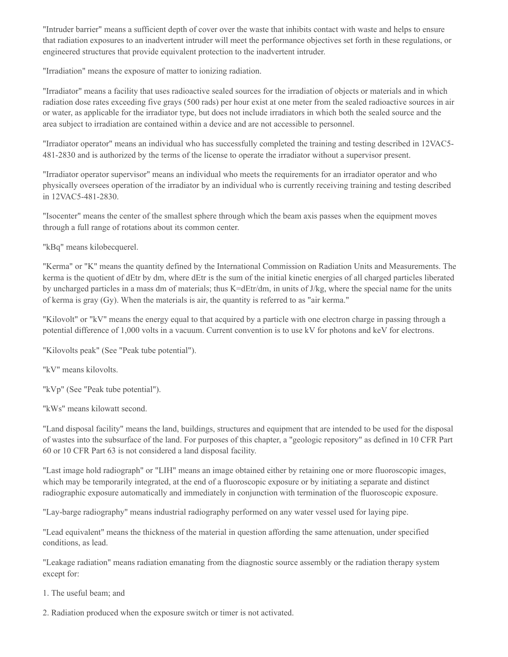"Intruder barrier" means a sufficient depth of cover over the waste that inhibits contact with waste and helps to ensure that radiation exposures to an inadvertent intruder will meet the performance objectives set forth in these regulations, or engineered structures that provide equivalent protection to the inadvertent intruder.

"Irradiation" means the exposure of matter to ionizing radiation.

"Irradiator" means a facility that uses radioactive sealed sources for the irradiation of objects or materials and in which radiation dose rates exceeding five grays (500 rads) per hour exist at one meter from the sealed radioactive sources in air or water, as applicable for the irradiator type, but does not include irradiators in which both the sealed source and the area subject to irradiation are contained within a device and are not accessible to personnel.

"Irradiator operator" means an individual who has successfully completed the training and testing described in 12VAC5- 481-2830 and is authorized by the terms of the license to operate the irradiator without a supervisor present.

"Irradiator operator supervisor" means an individual who meets the requirements for an irradiator operator and who physically oversees operation of the irradiator by an individual who is currently receiving training and testing described in 12VAC5-481-2830.

"Isocenter" means the center of the smallest sphere through which the beam axis passes when the equipment moves through a full range of rotations about its common center.

"kBq" means kilobecquerel.

"Kerma" or "K" means the quantity defined by the International Commission on Radiation Units and Measurements. The kerma is the quotient of dEtr by dm, where dEtr is the sum of the initial kinetic energies of all charged particles liberated by uncharged particles in a mass dm of materials; thus K=dEtr/dm, in units of J/kg, where the special name for the units of kerma is gray (Gy). When the materials is air, the quantity is referred to as "air kerma."

"Kilovolt" or "kV" means the energy equal to that acquired by a particle with one electron charge in passing through a potential difference of 1,000 volts in a vacuum. Current convention is to use kV for photons and keV for electrons.

"Kilovolts peak" (See "Peak tube potential").

"kV" means kilovolts.

"kVp" (See "Peak tube potential").

"kWs" means kilowatt second.

"Land disposal facility" means the land, buildings, structures and equipment that are intended to be used for the disposal of wastes into the subsurface of the land. For purposes of this chapter, a "geologic repository" as defined in 10 CFR Part 60 or 10 CFR Part 63 is not considered a land disposal facility.

"Last image hold radiograph" or "LIH" means an image obtained either by retaining one or more fluoroscopic images, which may be temporarily integrated, at the end of a fluoroscopic exposure or by initiating a separate and distinct radiographic exposure automatically and immediately in conjunction with termination of the fluoroscopic exposure.

"Lay-barge radiography" means industrial radiography performed on any water vessel used for laying pipe.

"Lead equivalent" means the thickness of the material in question affording the same attenuation, under specified conditions, as lead.

"Leakage radiation" means radiation emanating from the diagnostic source assembly or the radiation therapy system except for:

1. The useful beam; and

2. Radiation produced when the exposure switch or timer is not activated.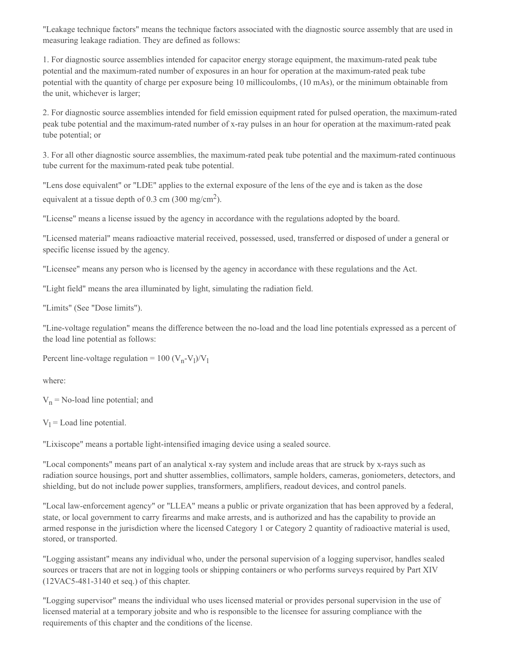"Leakage technique factors" means the technique factors associated with the diagnostic source assembly that are used in measuring leakage radiation. They are defined as follows:

1. For diagnostic source assemblies intended for capacitor energy storage equipment, the maximum-rated peak tube potential and the maximum-rated number of exposures in an hour for operation at the maximum-rated peak tube potential with the quantity of charge per exposure being 10 millicoulombs, (10 mAs), or the minimum obtainable from the unit, whichever is larger;

2. For diagnostic source assemblies intended for field emission equipment rated for pulsed operation, the maximum-rated peak tube potential and the maximum-rated number of x-ray pulses in an hour for operation at the maximum-rated peak tube potential; or

3. For all other diagnostic source assemblies, the maximum-rated peak tube potential and the maximum-rated continuous tube current for the maximum-rated peak tube potential.

"Lens dose equivalent" or "LDE" applies to the external exposure of the lens of the eye and is taken as the dose equivalent at a tissue depth of 0.3 cm (300 mg/cm<sup>2</sup>).

"License" means a license issued by the agency in accordance with the regulations adopted by the board.

"Licensed material" means radioactive material received, possessed, used, transferred or disposed of under a general or specific license issued by the agency.

"Licensee" means any person who is licensed by the agency in accordance with these regulations and the Act.

"Light field" means the area illuminated by light, simulating the radiation field.

"Limits" (See "Dose limits").

"Line-voltage regulation" means the difference between the no-load and the load line potentials expressed as a percent of the load line potential as follows:

Percent line-voltage regulation =  $100 (V_n - V_l)/V_l$ 

where:

 $V_n$  = No-load line potential; and

 $V_1$  = Load line potential.

"Lixiscope" means a portable light-intensified imaging device using a sealed source.

"Local components" means part of an analytical x-ray system and include areas that are struck by x-rays such as radiation source housings, port and shutter assemblies, collimators, sample holders, cameras, goniometers, detectors, and shielding, but do not include power supplies, transformers, amplifiers, readout devices, and control panels.

"Local law-enforcement agency" or "LLEA" means a public or private organization that has been approved by a federal, state, or local government to carry firearms and make arrests, and is authorized and has the capability to provide an armed response in the jurisdiction where the licensed Category 1 or Category 2 quantity of radioactive material is used, stored, or transported.

"Logging assistant" means any individual who, under the personal supervision of a logging supervisor, handles sealed sources or tracers that are not in logging tools or shipping containers or who performs surveys required by Part XIV (12VAC5-481-3140 et seq.) of this chapter.

"Logging supervisor" means the individual who uses licensed material or provides personal supervision in the use of licensed material at a temporary jobsite and who is responsible to the licensee for assuring compliance with the requirements of this chapter and the conditions of the license.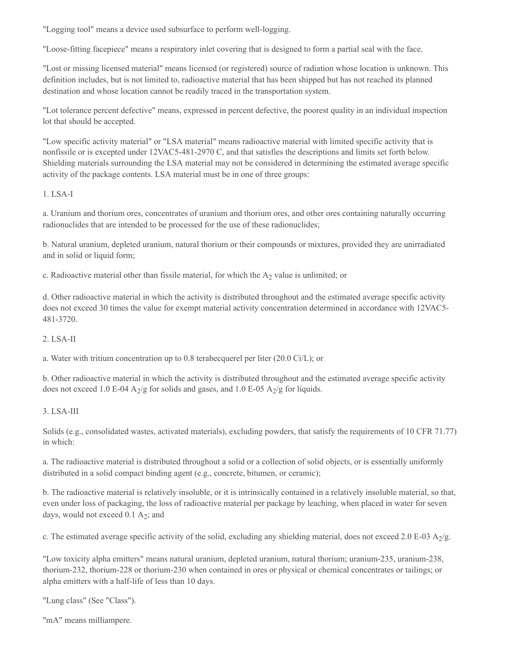"Logging tool" means a device used subsurface to perform well-logging.

"Loose-fitting facepiece" means a respiratory inlet covering that is designed to form a partial seal with the face.

"Lost or missing licensed material" means licensed (or registered) source of radiation whose location is unknown. This definition includes, but is not limited to, radioactive material that has been shipped but has not reached its planned destination and whose location cannot be readily traced in the transportation system.

"Lot tolerance percent defective" means, expressed in percent defective, the poorest quality in an individual inspection lot that should be accepted.

"Low specific activity material" or "LSA material" means radioactive material with limited specific activity that is nonfissile or is excepted under 12VAC5-481-2970 C, and that satisfies the descriptions and limits set forth below. Shielding materials surrounding the LSA material may not be considered in determining the estimated average specific activity of the package contents. LSA material must be in one of three groups:

# 1. LSA-I

a. Uranium and thorium ores, concentrates of uranium and thorium ores, and other ores containing naturally occurring radionuclides that are intended to be processed for the use of these radionuclides;

b. Natural uranium, depleted uranium, natural thorium or their compounds or mixtures, provided they are unirradiated and in solid or liquid form;

c. Radioactive material other than fissile material, for which the  $A_2$  value is unlimited; or

d. Other radioactive material in which the activity is distributed throughout and the estimated average specific activity does not exceed 30 times the value for exempt material activity concentration determined in accordance with 12VAC5-481-3720.

# 2. LSA-II

a. Water with tritium concentration up to 0.8 terabecquerel per liter (20.0 Ci/L); or

b. Other radioactive material in which the activity is distributed throughout and the estimated average specific activity does not exceed 1.0 E-04  $A_2/g$  for solids and gases, and 1.0 E-05  $A_2/g$  for liquids.

# 3. LSA-III

Solids (e.g., consolidated wastes, activated materials), excluding powders, that satisfy the requirements of 10 CFR 71.77) in which:

a. The radioactive material is distributed throughout a solid or a collection of solid objects, or is essentially uniformly distributed in a solid compact binding agent (e.g., concrete, bitumen, or ceramic);

b. The radioactive material is relatively insoluble, or it is intrinsically contained in a relatively insoluble material, so that, even under loss of packaging, the loss of radioactive material per package by leaching, when placed in water for seven days, would not exceed  $0.1 \text{ A}_2$ ; and

c. The estimated average specific activity of the solid, excluding any shielding material, does not exceed 2.0 E-03 A<sub>2</sub>/g.

"Low toxicity alpha emitters" means natural uranium, depleted uranium, natural thorium; uranium-235, uranium-238, thorium-232, thorium-228 or thorium-230 when contained in ores or physical or chemical concentrates or tailings; or alpha emitters with a half-life of less than 10 days.

"Lung class" (See "Class").

"mA" means milliampere.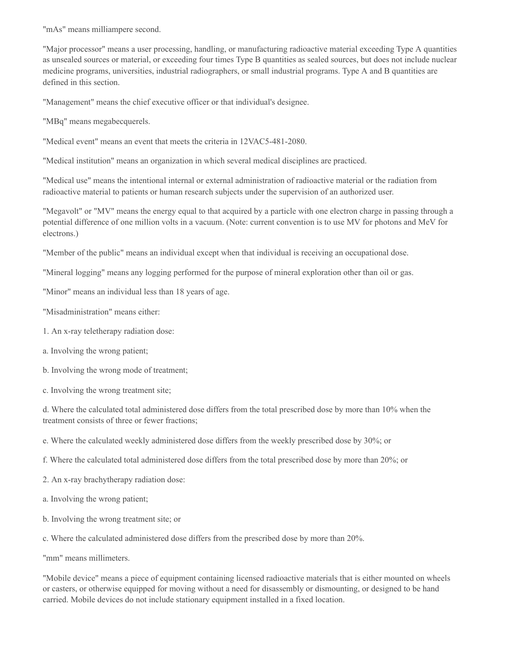"mAs" means milliampere second.

"Major processor" means a user processing, handling, or manufacturing radioactive material exceeding Type A quantities as unsealed sources or material, or exceeding four times Type B quantities as sealed sources, but does not include nuclear medicine programs, universities, industrial radiographers, or small industrial programs. Type A and B quantities are defined in this section.

"Management" means the chief executive officer or that individual's designee.

"MBq" means megabecquerels.

"Medical event" means an event that meets the criteria in 12VAC5-481-2080.

"Medical institution" means an organization in which several medical disciplines are practiced.

"Medical use" means the intentional internal or external administration of radioactive material or the radiation from radioactive material to patients or human research subjects under the supervision of an authorized user.

"Megavolt" or "MV" means the energy equal to that acquired by a particle with one electron charge in passing through a potential difference of one million volts in a vacuum. (Note: current convention is to use MV for photons and MeV for electrons.)

"Member of the public" means an individual except when that individual is receiving an occupational dose.

"Mineral logging" means any logging performed for the purpose of mineral exploration other than oil or gas.

"Minor" means an individual less than 18 years of age.

- "Misadministration" means either:
- 1. An x-ray teletherapy radiation dose:
- a. Involving the wrong patient;
- b. Involving the wrong mode of treatment;
- c. Involving the wrong treatment site;

d. Where the calculated total administered dose differs from the total prescribed dose by more than 10% when the treatment consists of three or fewer fractions;

e. Where the calculated weekly administered dose differs from the weekly prescribed dose by 30%; or

- f. Where the calculated total administered dose differs from the total prescribed dose by more than 20%; or
- 2. An x-ray brachytherapy radiation dose:
- a. Involving the wrong patient;
- b. Involving the wrong treatment site; or
- c. Where the calculated administered dose differs from the prescribed dose by more than 20%.
- "mm" means millimeters.

"Mobile device" means a piece of equipment containing licensed radioactive materials that is either mounted on wheels or casters, or otherwise equipped for moving without a need for disassembly or dismounting, or designed to be hand carried. Mobile devices do not include stationary equipment installed in a fixed location.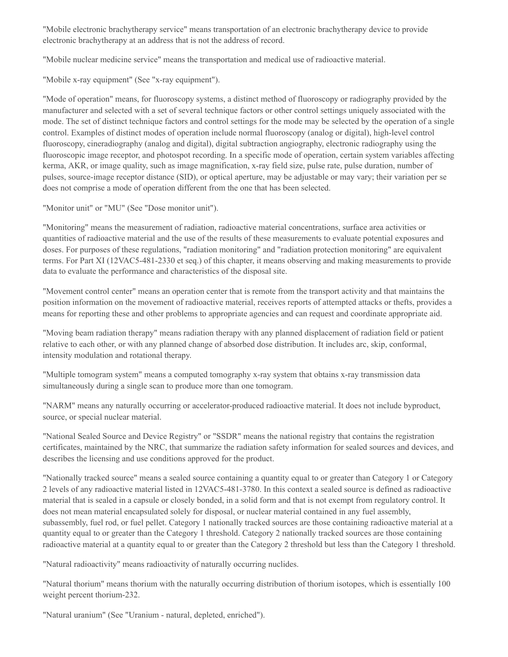"Mobile electronic brachytherapy service" means transportation of an electronic brachytherapy device to provide electronic brachytherapy at an address that is not the address of record.

"Mobile nuclear medicine service" means the transportation and medical use of radioactive material.

"Mobile x-ray equipment" (See "x-ray equipment").

"Mode of operation" means, for fluoroscopy systems, a distinct method of fluoroscopy or radiography provided by the manufacturer and selected with a set of several technique factors or other control settings uniquely associated with the mode. The set of distinct technique factors and control settings for the mode may be selected by the operation of a single control. Examples of distinct modes of operation include normal fluoroscopy (analog or digital), high-level control fluoroscopy, cineradiography (analog and digital), digital subtraction angiography, electronic radiography using the fluoroscopic image receptor, and photospot recording. In a specific mode of operation, certain system variables affecting kerma, AKR, or image quality, such as image magnification, x-ray field size, pulse rate, pulse duration, number of pulses, source-image receptor distance (SID), or optical aperture, may be adjustable or may vary; their variation per se does not comprise a mode of operation different from the one that has been selected.

"Monitor unit" or "MU" (See "Dose monitor unit").

"Monitoring" means the measurement of radiation, radioactive material concentrations, surface area activities or quantities of radioactive material and the use of the results of these measurements to evaluate potential exposures and doses. For purposes of these regulations, "radiation monitoring" and "radiation protection monitoring" are equivalent terms. For Part XI (12VAC5-481-2330 et seq.) of this chapter, it means observing and making measurements to provide data to evaluate the performance and characteristics of the disposal site.

"Movement control center" means an operation center that is remote from the transport activity and that maintains the position information on the movement of radioactive material, receives reports of attempted attacks or thefts, provides a means for reporting these and other problems to appropriate agencies and can request and coordinate appropriate aid.

"Moving beam radiation therapy" means radiation therapy with any planned displacement of radiation field or patient relative to each other, or with any planned change of absorbed dose distribution. It includes arc, skip, conformal, intensity modulation and rotational therapy.

"Multiple tomogram system" means a computed tomography x-ray system that obtains x-ray transmission data simultaneously during a single scan to produce more than one tomogram.

"NARM" means any naturally occurring or accelerator-produced radioactive material. It does not include byproduct, source, or special nuclear material.

"National Sealed Source and Device Registry" or "SSDR" means the national registry that contains the registration certificates, maintained by the NRC, that summarize the radiation safety information for sealed sources and devices, and describes the licensing and use conditions approved for the product.

"Nationally tracked source" means a sealed source containing a quantity equal to or greater than Category 1 or Category 2 levels of any radioactive material listed in 12VAC5-481-3780. In this context a sealed source is defined as radioactive material that is sealed in a capsule or closely bonded, in a solid form and that is not exempt from regulatory control. It does not mean material encapsulated solely for disposal, or nuclear material contained in any fuel assembly, subassembly, fuel rod, or fuel pellet. Category 1 nationally tracked sources are those containing radioactive material at a quantity equal to or greater than the Category 1 threshold. Category 2 nationally tracked sources are those containing radioactive material at a quantity equal to or greater than the Category 2 threshold but less than the Category 1 threshold.

"Natural radioactivity" means radioactivity of naturally occurring nuclides.

"Natural thorium" means thorium with the naturally occurring distribution of thorium isotopes, which is essentially 100 weight percent thorium-232.

"Natural uranium" (See "Uranium - natural, depleted, enriched").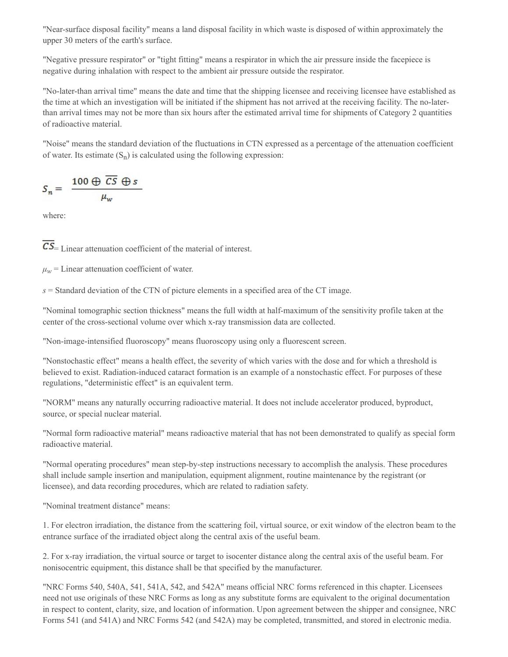"Near-surface disposal facility" means a land disposal facility in which waste is disposed of within approximately the upper 30 meters of the earth's surface.

"Negative pressure respirator" or "tight fitting" means a respirator in which the air pressure inside the facepiece is negative during inhalation with respect to the ambient air pressure outside the respirator.

"No-later-than arrival time" means the date and time that the shipping licensee and receiving licensee have established as the time at which an investigation will be initiated if the shipment has not arrived at the receiving facility. The no-laterthan arrival times may not be more than six hours after the estimated arrival time for shipments of Category 2 quantities of radioactive material.

"Noise" means the standard deviation of the fluctuations in CTN expressed as a percentage of the attenuation coefficient of water. Its estimate  $(S_n)$  is calculated using the following expression:

$$
S_n = \frac{100 \oplus \overline{CS} \oplus s}{\mu_w}
$$

where:

 $\overline{CS}$  = Linear attenuation coefficient of the material of interest.

 $\mu_w$  = Linear attenuation coefficient of water.

*s* = Standard deviation of the CTN of picture elements in a specified area of the CT image.

"Nominal tomographic section thickness" means the full width at half-maximum of the sensitivity profile taken at the center of the cross-sectional volume over which x-ray transmission data are collected.

"Non-image-intensified fluoroscopy" means fluoroscopy using only a fluorescent screen.

"Nonstochastic effect" means a health effect, the severity of which varies with the dose and for which a threshold is believed to exist. Radiation-induced cataract formation is an example of a nonstochastic effect. For purposes of these regulations, "deterministic effect" is an equivalent term.

"NORM" means any naturally occurring radioactive material. It does not include accelerator produced, byproduct, source, or special nuclear material.

"Normal form radioactive material" means radioactive material that has not been demonstrated to qualify as special form radioactive material.

"Normal operating procedures" mean step-by-step instructions necessary to accomplish the analysis. These procedures shall include sample insertion and manipulation, equipment alignment, routine maintenance by the registrant (or licensee), and data recording procedures, which are related to radiation safety.

"Nominal treatment distance" means:

1. For electron irradiation, the distance from the scattering foil, virtual source, or exit window of the electron beam to the entrance surface of the irradiated object along the central axis of the useful beam.

2. For x-ray irradiation, the virtual source or target to isocenter distance along the central axis of the useful beam. For nonisocentric equipment, this distance shall be that specified by the manufacturer.

"NRC Forms 540, 540A, 541, 541A, 542, and 542A" means official NRC forms referenced in this chapter. Licensees need not use originals of these NRC Forms as long as any substitute forms are equivalent to the original documentation in respect to content, clarity, size, and location of information. Upon agreement between the shipper and consignee, NRC Forms 541 (and 541A) and NRC Forms 542 (and 542A) may be completed, transmitted, and stored in electronic media.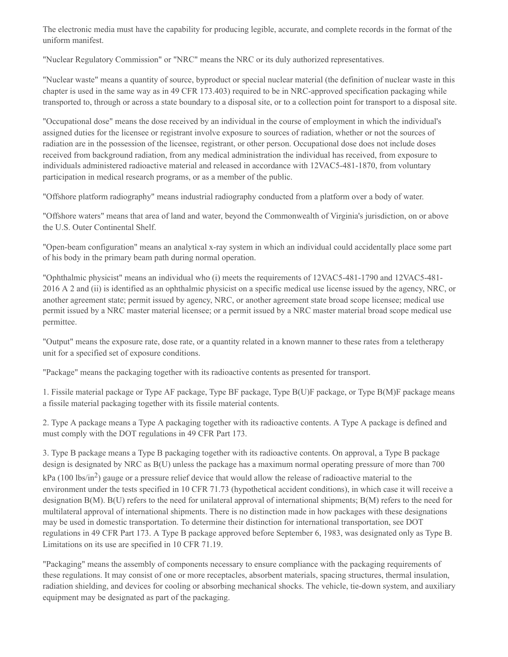The electronic media must have the capability for producing legible, accurate, and complete records in the format of the uniform manifest.

"Nuclear Regulatory Commission" or "NRC" means the NRC or its duly authorized representatives.

"Nuclear waste" means a quantity of source, byproduct or special nuclear material (the definition of nuclear waste in this chapter is used in the same way as in 49 CFR 173.403) required to be in NRC-approved specification packaging while transported to, through or across a state boundary to a disposal site, or to a collection point for transport to a disposal site.

"Occupational dose" means the dose received by an individual in the course of employment in which the individual's assigned duties for the licensee or registrant involve exposure to sources of radiation, whether or not the sources of radiation are in the possession of the licensee, registrant, or other person. Occupational dose does not include doses received from background radiation, from any medical administration the individual has received, from exposure to individuals administered radioactive material and released in accordance with 12VAC5-481-1870, from voluntary participation in medical research programs, or as a member of the public.

"Offshore platform radiography" means industrial radiography conducted from a platform over a body of water.

"Offshore waters" means that area of land and water, beyond the Commonwealth of Virginia's jurisdiction, on or above the U.S. Outer Continental Shelf.

"Open-beam configuration" means an analytical x-ray system in which an individual could accidentally place some part of his body in the primary beam path during normal operation.

"Ophthalmic physicist" means an individual who (i) meets the requirements of 12VAC5-481-1790 and 12VAC5-481- 2016 A 2 and (ii) is identified as an ophthalmic physicist on a specific medical use license issued by the agency, NRC, or another agreement state; permit issued by agency, NRC, or another agreement state broad scope licensee; medical use permit issued by a NRC master material licensee; or a permit issued by a NRC master material broad scope medical use permittee.

"Output" means the exposure rate, dose rate, or a quantity related in a known manner to these rates from a teletherapy unit for a specified set of exposure conditions.

"Package" means the packaging together with its radioactive contents as presented for transport.

1. Fissile material package or Type AF package, Type BF package, Type B(U)F package, or Type B(M)F package means a fissile material packaging together with its fissile material contents.

2. Type A package means a Type A packaging together with its radioactive contents. A Type A package is defined and must comply with the DOT regulations in 49 CFR Part 173.

3. Type B package means a Type B packaging together with its radioactive contents. On approval, a Type B package design is designated by NRC as B(U) unless the package has a maximum normal operating pressure of more than 700 kPa (100 lbs/in<sup>2</sup>) gauge or a pressure relief device that would allow the release of radioactive material to the environment under the tests specified in 10 CFR 71.73 (hypothetical accident conditions), in which case it will receive a designation B(M). B(U) refers to the need for unilateral approval of international shipments; B(M) refers to the need for multilateral approval of international shipments. There is no distinction made in how packages with these designations may be used in domestic transportation. To determine their distinction for international transportation, see DOT regulations in 49 CFR Part 173. A Type B package approved before September 6, 1983, was designated only as Type B. Limitations on its use are specified in 10 CFR 71.19.

"Packaging" means the assembly of components necessary to ensure compliance with the packaging requirements of these regulations. It may consist of one or more receptacles, absorbent materials, spacing structures, thermal insulation, radiation shielding, and devices for cooling or absorbing mechanical shocks. The vehicle, tie-down system, and auxiliary equipment may be designated as part of the packaging.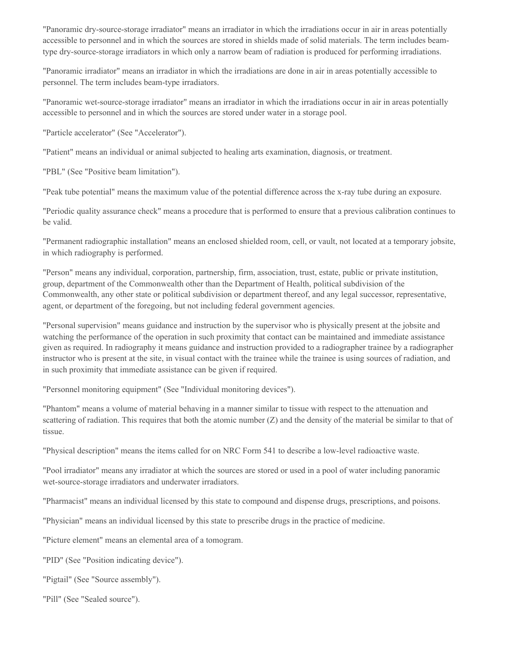"Panoramic dry-source-storage irradiator" means an irradiator in which the irradiations occur in air in areas potentially accessible to personnel and in which the sources are stored in shields made of solid materials. The term includes beamtype dry-source-storage irradiators in which only a narrow beam of radiation is produced for performing irradiations.

"Panoramic irradiator" means an irradiator in which the irradiations are done in air in areas potentially accessible to personnel. The term includes beam-type irradiators.

"Panoramic wet-source-storage irradiator" means an irradiator in which the irradiations occur in air in areas potentially accessible to personnel and in which the sources are stored under water in a storage pool.

"Particle accelerator" (See "Accelerator").

"Patient" means an individual or animal subjected to healing arts examination, diagnosis, or treatment.

"PBL" (See "Positive beam limitation").

"Peak tube potential" means the maximum value of the potential difference across the x-ray tube during an exposure.

"Periodic quality assurance check" means a procedure that is performed to ensure that a previous calibration continues to be valid.

"Permanent radiographic installation" means an enclosed shielded room, cell, or vault, not located at a temporary jobsite, in which radiography is performed.

"Person" means any individual, corporation, partnership, firm, association, trust, estate, public or private institution, group, department of the Commonwealth other than the Department of Health, political subdivision of the Commonwealth, any other state or political subdivision or department thereof, and any legal successor, representative, agent, or department of the foregoing, but not including federal government agencies.

"Personal supervision" means guidance and instruction by the supervisor who is physically present at the jobsite and watching the performance of the operation in such proximity that contact can be maintained and immediate assistance given as required. In radiography it means guidance and instruction provided to a radiographer trainee by a radiographer instructor who is present at the site, in visual contact with the trainee while the trainee is using sources of radiation, and in such proximity that immediate assistance can be given if required.

"Personnel monitoring equipment" (See "Individual monitoring devices").

"Phantom" means a volume of material behaving in a manner similar to tissue with respect to the attenuation and scattering of radiation. This requires that both the atomic number (Z) and the density of the material be similar to that of tissue.

"Physical description" means the items called for on NRC Form 541 to describe a low-level radioactive waste.

"Pool irradiator" means any irradiator at which the sources are stored or used in a pool of water including panoramic wet-source-storage irradiators and underwater irradiators.

"Pharmacist" means an individual licensed by this state to compound and dispense drugs, prescriptions, and poisons.

"Physician" means an individual licensed by this state to prescribe drugs in the practice of medicine.

"Picture element" means an elemental area of a tomogram.

"PID" (See "Position indicating device").

"Pigtail" (See "Source assembly").

"Pill" (See "Sealed source").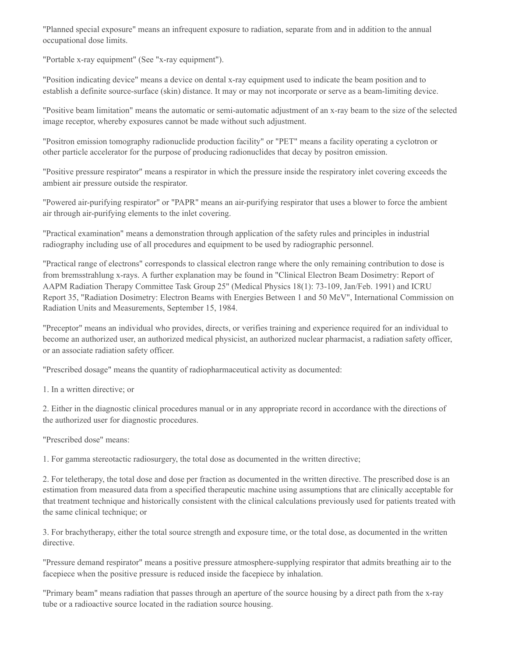"Planned special exposure" means an infrequent exposure to radiation, separate from and in addition to the annual occupational dose limits.

"Portable x-ray equipment" (See "x-ray equipment").

"Position indicating device" means a device on dental x-ray equipment used to indicate the beam position and to establish a definite source-surface (skin) distance. It may or may not incorporate or serve as a beam-limiting device.

"Positive beam limitation" means the automatic or semi-automatic adjustment of an x-ray beam to the size of the selected image receptor, whereby exposures cannot be made without such adjustment.

"Positron emission tomography radionuclide production facility" or "PET" means a facility operating a cyclotron or other particle accelerator for the purpose of producing radionuclides that decay by positron emission.

"Positive pressure respirator" means a respirator in which the pressure inside the respiratory inlet covering exceeds the ambient air pressure outside the respirator.

"Powered air-purifying respirator" or "PAPR" means an air-purifying respirator that uses a blower to force the ambient air through air-purifying elements to the inlet covering.

"Practical examination" means a demonstration through application of the safety rules and principles in industrial radiography including use of all procedures and equipment to be used by radiographic personnel.

"Practical range of electrons" corresponds to classical electron range where the only remaining contribution to dose is from bremsstrahlung x-rays. A further explanation may be found in "Clinical Electron Beam Dosimetry: Report of AAPM Radiation Therapy Committee Task Group 25" (Medical Physics 18(1): 73-109, Jan/Feb. 1991) and ICRU Report 35, "Radiation Dosimetry: Electron Beams with Energies Between 1 and 50 MeV", International Commission on Radiation Units and Measurements, September 15, 1984.

"Preceptor" means an individual who provides, directs, or verifies training and experience required for an individual to become an authorized user, an authorized medical physicist, an authorized nuclear pharmacist, a radiation safety officer, or an associate radiation safety officer.

"Prescribed dosage" means the quantity of radiopharmaceutical activity as documented:

1. In a written directive; or

2. Either in the diagnostic clinical procedures manual or in any appropriate record in accordance with the directions of the authorized user for diagnostic procedures.

"Prescribed dose" means:

1. For gamma stereotactic radiosurgery, the total dose as documented in the written directive;

2. For teletherapy, the total dose and dose per fraction as documented in the written directive. The prescribed dose is an estimation from measured data from a specified therapeutic machine using assumptions that are clinically acceptable for that treatment technique and historically consistent with the clinical calculations previously used for patients treated with the same clinical technique; or

3. For brachytherapy, either the total source strength and exposure time, or the total dose, as documented in the written directive.

"Pressure demand respirator" means a positive pressure atmosphere-supplying respirator that admits breathing air to the facepiece when the positive pressure is reduced inside the facepiece by inhalation.

"Primary beam" means radiation that passes through an aperture of the source housing by a direct path from the x-ray tube or a radioactive source located in the radiation source housing.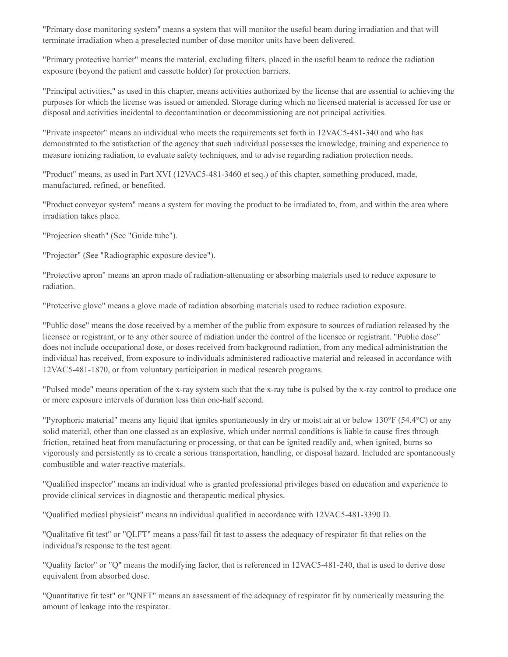"Primary dose monitoring system" means a system that will monitor the useful beam during irradiation and that will terminate irradiation when a preselected number of dose monitor units have been delivered.

"Primary protective barrier" means the material, excluding filters, placed in the useful beam to reduce the radiation exposure (beyond the patient and cassette holder) for protection barriers.

"Principal activities," as used in this chapter, means activities authorized by the license that are essential to achieving the purposes for which the license was issued or amended. Storage during which no licensed material is accessed for use or disposal and activities incidental to decontamination or decommissioning are not principal activities.

"Private inspector" means an individual who meets the requirements set forth in 12VAC5-481-340 and who has demonstrated to the satisfaction of the agency that such individual possesses the knowledge, training and experience to measure ionizing radiation, to evaluate safety techniques, and to advise regarding radiation protection needs.

"Product" means, as used in Part XVI (12VAC5-481-3460 et seq.) of this chapter, something produced, made, manufactured, refined, or benefited.

"Product conveyor system" means a system for moving the product to be irradiated to, from, and within the area where irradiation takes place.

"Projection sheath" (See "Guide tube").

"Projector" (See "Radiographic exposure device").

"Protective apron" means an apron made of radiation-attenuating or absorbing materials used to reduce exposure to radiation.

"Protective glove" means a glove made of radiation absorbing materials used to reduce radiation exposure.

"Public dose" means the dose received by a member of the public from exposure to sources of radiation released by the licensee or registrant, or to any other source of radiation under the control of the licensee or registrant. "Public dose" does not include occupational dose, or doses received from background radiation, from any medical administration the individual has received, from exposure to individuals administered radioactive material and released in accordance with 12VAC5-481-1870, or from voluntary participation in medical research programs.

"Pulsed mode" means operation of the x-ray system such that the x-ray tube is pulsed by the x-ray control to produce one or more exposure intervals of duration less than one-half second.

"Pyrophoric material" means any liquid that ignites spontaneously in dry or moist air at or below 130°F (54.4°C) or any solid material, other than one classed as an explosive, which under normal conditions is liable to cause fires through friction, retained heat from manufacturing or processing, or that can be ignited readily and, when ignited, burns so vigorously and persistently as to create a serious transportation, handling, or disposal hazard. Included are spontaneously combustible and water-reactive materials.

"Qualified inspector" means an individual who is granted professional privileges based on education and experience to provide clinical services in diagnostic and therapeutic medical physics.

"Qualified medical physicist" means an individual qualified in accordance with 12VAC5-481-3390 D.

"Qualitative fit test" or "QLFT" means a pass/fail fit test to assess the adequacy of respirator fit that relies on the individual's response to the test agent.

"Quality factor" or "Q" means the modifying factor, that is referenced in 12VAC5-481-240, that is used to derive dose equivalent from absorbed dose.

"Quantitative fit test" or "QNFT" means an assessment of the adequacy of respirator fit by numerically measuring the amount of leakage into the respirator.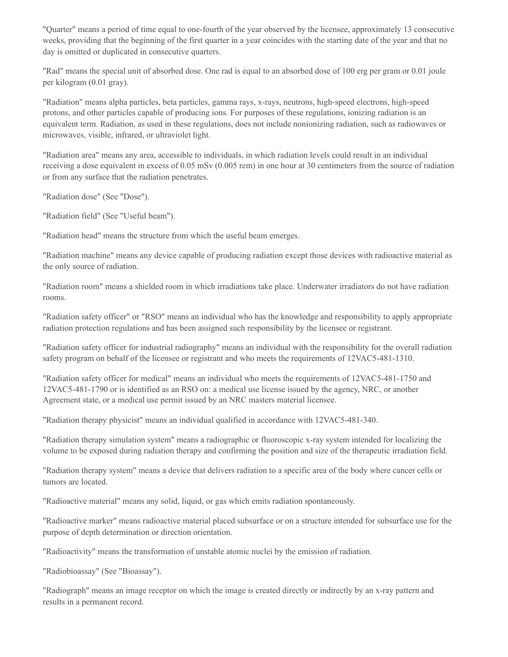"Quarter" means a period of time equal to one-fourth of the year observed by the licensee, approximately 13 consecutive weeks, providing that the beginning of the first quarter in a year coincides with the starting date of the year and that no day is omitted or duplicated in consecutive quarters.

"Rad" means the special unit of absorbed dose. One rad is equal to an absorbed dose of 100 erg per gram or 0.01 joule per kilogram (0.01 gray).

"Radiation" means alpha particles, beta particles, gamma rays, x-rays, neutrons, high-speed electrons, high-speed protons, and other particles capable of producing ions. For purposes of these regulations, ionizing radiation is an equivalent term. Radiation, as used in these regulations, does not include nonionizing radiation, such as radiowaves or microwaves, visible, infrared, or ultraviolet light.

"Radiation area" means any area, accessible to individuals, in which radiation levels could result in an individual receiving a dose equivalent in excess of 0.05 mSv (0.005 rem) in one hour at 30 centimeters from the source of radiation or from any surface that the radiation penetrates.

"Radiation dose" (See "Dose").

"Radiation field" (See "Useful beam").

"Radiation head" means the structure from which the useful beam emerges.

"Radiation machine" means any device capable of producing radiation except those devices with radioactive material as the only source of radiation.

"Radiation room" means a shielded room in which irradiations take place. Underwater irradiators do not have radiation rooms.

"Radiation safety officer" or "RSO" means an individual who has the knowledge and responsibility to apply appropriate radiation protection regulations and has been assigned such responsibility by the licensee or registrant.

"Radiation safety officer for industrial radiography" means an individual with the responsibility for the overall radiation safety program on behalf of the licensee or registrant and who meets the requirements of 12VAC5-481-1310.

"Radiation safety officer for medical" means an individual who meets the requirements of 12VAC5-481-1750 and 12VAC5-481-1790 or is identified as an RSO on: a medical use license issued by the agency, NRC, or another Agreement state, or a medical use permit issued by an NRC masters material licensee.

"Radiation therapy physicist" means an individual qualified in accordance with 12VAC5-481-340.

"Radiation therapy simulation system" means a radiographic or fluoroscopic x-ray system intended for localizing the volume to be exposed during radiation therapy and confirming the position and size of the therapeutic irradiation field.

"Radiation therapy system" means a device that delivers radiation to a specific area of the body where cancer cells or tumors are located.

"Radioactive material" means any solid, liquid, or gas which emits radiation spontaneously.

"Radioactive marker" means radioactive material placed subsurface or on a structure intended for subsurface use for the purpose of depth determination or direction orientation.

"Radioactivity" means the transformation of unstable atomic nuclei by the emission of radiation.

"Radiobioassay" (See "Bioassay").

"Radiograph" means an image receptor on which the image is created directly or indirectly by an x-ray pattern and results in a permanent record.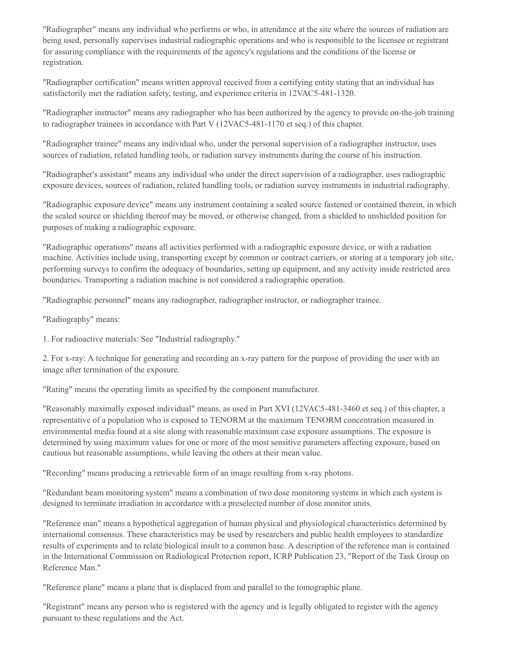"Radiographer" means any individual who performs or who, in attendance at the site where the sources of radiation are being used, personally supervises industrial radiographic operations and who is responsible to the licensee or registrant for assuring compliance with the requirements of the agency's regulations and the conditions of the license or registration.

"Radiographer certification" means written approval received from a certifying entity stating that an individual has satisfactorily met the radiation safety, testing, and experience criteria in 12VAC5-481-1320.

"Radiographer instructor" means any radiographer who has been authorized by the agency to provide on-the-job training to radiographer trainees in accordance with Part V (12VAC5-481-1170 et seq.) of this chapter.

"Radiographer trainee" means any individual who, under the personal supervision of a radiographer instructor, uses sources of radiation, related handling tools, or radiation survey instruments during the course of his instruction.

"Radiographer's assistant" means any individual who under the direct supervision of a radiographer, uses radiographic exposure devices, sources of radiation, related handling tools, or radiation survey instruments in industrial radiography.

"Radiographic exposure device" means any instrument containing a sealed source fastened or contained therein, in which the sealed source or shielding thereof may be moved, or otherwise changed, from a shielded to unshielded position for purposes of making a radiographic exposure.

"Radiographic operations" means all activities performed with a radiographic exposure device, or with a radiation machine. Activities include using, transporting except by common or contract carriers, or storing at a temporary job site, performing surveys to confirm the adequacy of boundaries, setting up equipment, and any activity inside restricted area boundaries. Transporting a radiation machine is not considered a radiographic operation.

"Radiographic personnel" means any radiographer, radiographer instructor, or radiographer trainee.

"Radiography" means:

1. For radioactive materials: See "Industrial radiography."

2. For x-ray: A technique for generating and recording an x-ray pattern for the purpose of providing the user with an image after termination of the exposure.

"Rating" means the operating limits as specified by the component manufacturer.

"Reasonably maximally exposed individual" means, as used in Part XVI (12VAC5-481-3460 et seq.) of this chapter, a representative of a population who is exposed to TENORM at the maximum TENORM concentration measured in environmental media found at a site along with reasonable maximum case exposure assumptions. The exposure is determined by using maximum values for one or more of the most sensitive parameters affecting exposure, based on cautious but reasonable assumptions, while leaving the others at their mean value.

"Recording" means producing a retrievable form of an image resulting from x-ray photons.

"Redundant beam monitoring system" means a combination of two dose monitoring systems in which each system is designed to terminate irradiation in accordance with a preselected number of dose monitor units.

"Reference man" means a hypothetical aggregation of human physical and physiological characteristics determined by international consensus. These characteristics may be used by researchers and public health employees to standardize results of experiments and to relate biological insult to a common base. A description of the reference man is contained in the International Commission on Radiological Protection report, ICRP Publication 23, "Report of the Task Group on Reference Man."

"Reference plane" means a plane that is displaced from and parallel to the tomographic plane.

"Registrant" means any person who is registered with the agency and is legally obligated to register with the agency pursuant to these regulations and the Act.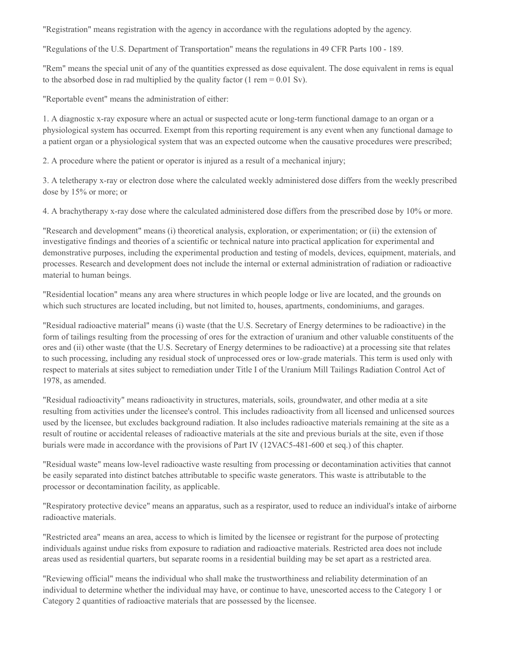"Registration" means registration with the agency in accordance with the regulations adopted by the agency.

"Regulations of the U.S. Department of Transportation" means the regulations in 49 CFR Parts 100 - 189.

"Rem" means the special unit of any of the quantities expressed as dose equivalent. The dose equivalent in rems is equal to the absorbed dose in rad multiplied by the quality factor  $(1 \text{ rem} = 0.01 \text{ Sv})$ .

"Reportable event" means the administration of either:

1. A diagnostic x-ray exposure where an actual or suspected acute or long-term functional damage to an organ or a physiological system has occurred. Exempt from this reporting requirement is any event when any functional damage to a patient organ or a physiological system that was an expected outcome when the causative procedures were prescribed;

2. A procedure where the patient or operator is injured as a result of a mechanical injury;

3. A teletherapy x-ray or electron dose where the calculated weekly administered dose differs from the weekly prescribed dose by 15% or more; or

4. A brachytherapy x-ray dose where the calculated administered dose differs from the prescribed dose by 10% or more.

"Research and development" means (i) theoretical analysis, exploration, or experimentation; or (ii) the extension of investigative findings and theories of a scientific or technical nature into practical application for experimental and demonstrative purposes, including the experimental production and testing of models, devices, equipment, materials, and processes. Research and development does not include the internal or external administration of radiation or radioactive material to human beings.

"Residential location" means any area where structures in which people lodge or live are located, and the grounds on which such structures are located including, but not limited to, houses, apartments, condominiums, and garages.

"Residual radioactive material" means (i) waste (that the U.S. Secretary of Energy determines to be radioactive) in the form of tailings resulting from the processing of ores for the extraction of uranium and other valuable constituents of the ores and (ii) other waste (that the U.S. Secretary of Energy determines to be radioactive) at a processing site that relates to such processing, including any residual stock of unprocessed ores or low-grade materials. This term is used only with respect to materials at sites subject to remediation under Title I of the Uranium Mill Tailings Radiation Control Act of 1978, as amended.

"Residual radioactivity" means radioactivity in structures, materials, soils, groundwater, and other media at a site resulting from activities under the licensee's control. This includes radioactivity from all licensed and unlicensed sources used by the licensee, but excludes background radiation. It also includes radioactive materials remaining at the site as a result of routine or accidental releases of radioactive materials at the site and previous burials at the site, even if those burials were made in accordance with the provisions of Part IV (12VAC5-481-600 et seq.) of this chapter.

"Residual waste" means low-level radioactive waste resulting from processing or decontamination activities that cannot be easily separated into distinct batches attributable to specific waste generators. This waste is attributable to the processor or decontamination facility, as applicable.

"Respiratory protective device" means an apparatus, such as a respirator, used to reduce an individual's intake of airborne radioactive materials.

"Restricted area" means an area, access to which is limited by the licensee or registrant for the purpose of protecting individuals against undue risks from exposure to radiation and radioactive materials. Restricted area does not include areas used as residential quarters, but separate rooms in a residential building may be set apart as a restricted area.

"Reviewing official" means the individual who shall make the trustworthiness and reliability determination of an individual to determine whether the individual may have, or continue to have, unescorted access to the Category 1 or Category 2 quantities of radioactive materials that are possessed by the licensee.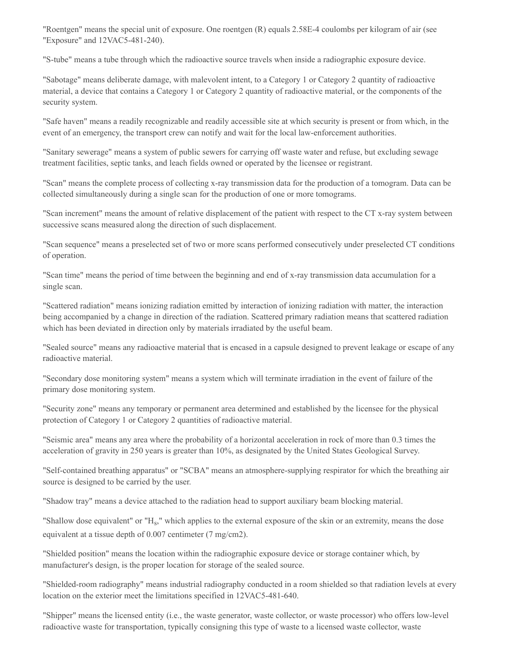"Roentgen" means the special unit of exposure. One roentgen (R) equals 2.58E-4 coulombs per kilogram of air (see "Exposure" and 12VAC5-481-240).

"S-tube" means a tube through which the radioactive source travels when inside a radiographic exposure device.

"Sabotage" means deliberate damage, with malevolent intent, to a Category 1 or Category 2 quantity of radioactive material, a device that contains a Category 1 or Category 2 quantity of radioactive material, or the components of the security system.

"Safe haven" means a readily recognizable and readily accessible site at which security is present or from which, in the event of an emergency, the transport crew can notify and wait for the local law-enforcement authorities.

"Sanitary sewerage" means a system of public sewers for carrying off waste water and refuse, but excluding sewage treatment facilities, septic tanks, and leach fields owned or operated by the licensee or registrant.

"Scan" means the complete process of collecting x-ray transmission data for the production of a tomogram. Data can be collected simultaneously during a single scan for the production of one or more tomograms.

"Scan increment" means the amount of relative displacement of the patient with respect to the CT x-ray system between successive scans measured along the direction of such displacement.

"Scan sequence" means a preselected set of two or more scans performed consecutively under preselected CT conditions of operation.

"Scan time" means the period of time between the beginning and end of x-ray transmission data accumulation for a single scan.

"Scattered radiation" means ionizing radiation emitted by interaction of ionizing radiation with matter, the interaction being accompanied by a change in direction of the radiation. Scattered primary radiation means that scattered radiation which has been deviated in direction only by materials irradiated by the useful beam.

"Sealed source" means any radioactive material that is encased in a capsule designed to prevent leakage or escape of any radioactive material.

"Secondary dose monitoring system" means a system which will terminate irradiation in the event of failure of the primary dose monitoring system.

"Security zone" means any temporary or permanent area determined and established by the licensee for the physical protection of Category 1 or Category 2 quantities of radioactive material.

"Seismic area" means any area where the probability of a horizontal acceleration in rock of more than 0.3 times the acceleration of gravity in 250 years is greater than 10%, as designated by the United States Geological Survey.

"Self-contained breathing apparatus" or "SCBA" means an atmosphere-supplying respirator for which the breathing air source is designed to be carried by the user.

"Shadow tray" means a device attached to the radiation head to support auxiliary beam blocking material.

"Shallow dose equivalent" or "H<sub>s</sub>," which applies to the external exposure of the skin or an extremity, means the dose equivalent at a tissue depth of 0.007 centimeter (7 mg/cm2).

"Shielded position" means the location within the radiographic exposure device or storage container which, by manufacturer's design, is the proper location for storage of the sealed source.

"Shielded-room radiography" means industrial radiography conducted in a room shielded so that radiation levels at every location on the exterior meet the limitations specified in 12VAC5-481-640.

"Shipper" means the licensed entity (i.e., the waste generator, waste collector, or waste processor) who offers low-level radioactive waste for transportation, typically consigning this type of waste to a licensed waste collector, waste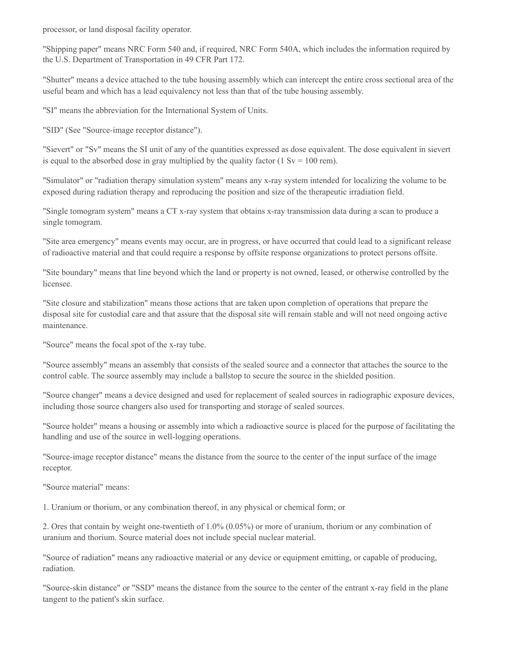processor, or land disposal facility operator.

"Shipping paper" means NRC Form 540 and, if required, NRC Form 540A, which includes the information required by the U.S. Department of Transportation in 49 CFR Part 172.

"Shutter" means a device attached to the tube housing assembly which can intercept the entire cross sectional area of the useful beam and which has a lead equivalency not less than that of the tube housing assembly.

"SI" means the abbreviation for the International System of Units.

"SID" (See "Source-image receptor distance").

"Sievert" or "Sv" means the SI unit of any of the quantities expressed as dose equivalent. The dose equivalent in sievert is equal to the absorbed dose in gray multiplied by the quality factor  $(1 \text{ Sv} = 100 \text{ rem})$ .

"Simulator" or "radiation therapy simulation system" means any x-ray system intended for localizing the volume to be exposed during radiation therapy and reproducing the position and size of the therapeutic irradiation field.

"Single tomogram system" means a CT x-ray system that obtains x-ray transmission data during a scan to produce a single tomogram.

"Site area emergency" means events may occur, are in progress, or have occurred that could lead to a significant release of radioactive material and that could require a response by offsite response organizations to protect persons offsite.

"Site boundary" means that line beyond which the land or property is not owned, leased, or otherwise controlled by the licensee.

"Site closure and stabilization" means those actions that are taken upon completion of operations that prepare the disposal site for custodial care and that assure that the disposal site will remain stable and will not need ongoing active maintenance.

"Source" means the focal spot of the x-ray tube.

"Source assembly" means an assembly that consists of the sealed source and a connector that attaches the source to the control cable. The source assembly may include a ballstop to secure the source in the shielded position.

"Source changer" means a device designed and used for replacement of sealed sources in radiographic exposure devices, including those source changers also used for transporting and storage of sealed sources.

"Source holder" means a housing or assembly into which a radioactive source is placed for the purpose of facilitating the handling and use of the source in well-logging operations.

"Source-image receptor distance" means the distance from the source to the center of the input surface of the image receptor.

"Source material" means:

1. Uranium or thorium, or any combination thereof, in any physical or chemical form; or

2. Ores that contain by weight one-twentieth of 1.0% (0.05%) or more of uranium, thorium or any combination of uranium and thorium. Source material does not include special nuclear material.

"Source of radiation" means any radioactive material or any device or equipment emitting, or capable of producing, radiation.

"Source-skin distance" or "SSD" means the distance from the source to the center of the entrant x-ray field in the plane tangent to the patient's skin surface.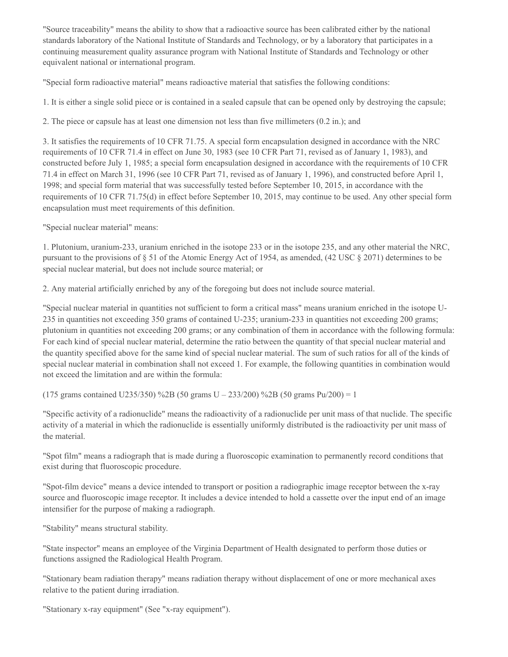"Source traceability" means the ability to show that a radioactive source has been calibrated either by the national standards laboratory of the National Institute of Standards and Technology, or by a laboratory that participates in a continuing measurement quality assurance program with National Institute of Standards and Technology or other equivalent national or international program.

"Special form radioactive material" means radioactive material that satisfies the following conditions:

1. It is either a single solid piece or is contained in a sealed capsule that can be opened only by destroying the capsule;

2. The piece or capsule has at least one dimension not less than five millimeters (0.2 in.); and

3. It satisfies the requirements of 10 CFR 71.75. A special form encapsulation designed in accordance with the NRC requirements of 10 CFR 71.4 in effect on June 30, 1983 (see 10 CFR Part 71, revised as of January 1, 1983), and constructed before July 1, 1985; a special form encapsulation designed in accordance with the requirements of 10 CFR 71.4 in effect on March 31, 1996 (see 10 CFR Part 71, revised as of January 1, 1996), and constructed before April 1, 1998; and special form material that was successfully tested before September 10, 2015, in accordance with the requirements of 10 CFR 71.75(d) in effect before September 10, 2015, may continue to be used. Any other special form encapsulation must meet requirements of this definition.

"Special nuclear material" means:

1. Plutonium, uranium-233, uranium enriched in the isotope 233 or in the isotope 235, and any other material the NRC, pursuant to the provisions of § 51 of the Atomic Energy Act of 1954, as amended, (42 USC § 2071) determines to be special nuclear material, but does not include source material; or

2. Any material artificially enriched by any of the foregoing but does not include source material.

"Special nuclear material in quantities not sufficient to form a critical mass" means uranium enriched in the isotope U-235 in quantities not exceeding 350 grams of contained U-235; uranium-233 in quantities not exceeding 200 grams; plutonium in quantities not exceeding 200 grams; or any combination of them in accordance with the following formula: For each kind of special nuclear material, determine the ratio between the quantity of that special nuclear material and the quantity specified above for the same kind of special nuclear material. The sum of such ratios for all of the kinds of special nuclear material in combination shall not exceed 1. For example, the following quantities in combination would not exceed the limitation and are within the formula:

 $(175 \text{ grams contained U} \times 235/350) \%$  2B (50 grams U – 233/200) % 2B (50 grams Pu/200) = 1

"Specific activity of a radionuclide" means the radioactivity of a radionuclide per unit mass of that nuclide. The specific activity of a material in which the radionuclide is essentially uniformly distributed is the radioactivity per unit mass of the material.

"Spot film" means a radiograph that is made during a fluoroscopic examination to permanently record conditions that exist during that fluoroscopic procedure.

"Spot-film device" means a device intended to transport or position a radiographic image receptor between the x-ray source and fluoroscopic image receptor. It includes a device intended to hold a cassette over the input end of an image intensifier for the purpose of making a radiograph.

"Stability" means structural stability.

"State inspector" means an employee of the Virginia Department of Health designated to perform those duties or functions assigned the Radiological Health Program.

"Stationary beam radiation therapy" means radiation therapy without displacement of one or more mechanical axes relative to the patient during irradiation.

"Stationary x-ray equipment" (See "x-ray equipment").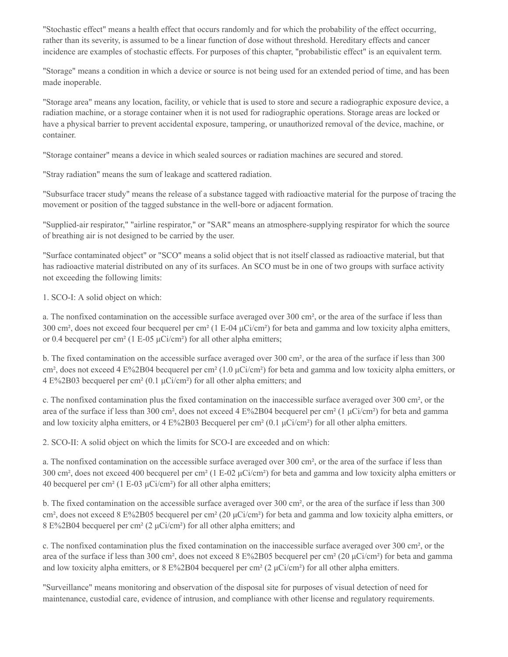"Stochastic effect" means a health effect that occurs randomly and for which the probability of the effect occurring, rather than its severity, is assumed to be a linear function of dose without threshold. Hereditary effects and cancer incidence are examples of stochastic effects. For purposes of this chapter, "probabilistic effect" is an equivalent term.

"Storage" means a condition in which a device or source is not being used for an extended period of time, and has been made inoperable.

"Storage area" means any location, facility, or vehicle that is used to store and secure a radiographic exposure device, a radiation machine, or a storage container when it is not used for radiographic operations. Storage areas are locked or have a physical barrier to prevent accidental exposure, tampering, or unauthorized removal of the device, machine, or container.

"Storage container" means a device in which sealed sources or radiation machines are secured and stored.

"Stray radiation" means the sum of leakage and scattered radiation.

"Subsurface tracer study" means the release of a substance tagged with radioactive material for the purpose of tracing the movement or position of the tagged substance in the well-bore or adjacent formation.

"Supplied-air respirator," "airline respirator," or "SAR" means an atmosphere-supplying respirator for which the source of breathing air is not designed to be carried by the user.

"Surface contaminated object" or "SCO" means a solid object that is not itself classed as radioactive material, but that has radioactive material distributed on any of its surfaces. An SCO must be in one of two groups with surface activity not exceeding the following limits:

1. SCO-I: A solid object on which:

a. The nonfixed contamination on the accessible surface averaged over 300 cm², or the area of the surface if less than 300 cm², does not exceed four becquerel per cm² (1 E-04 μCi/cm²) for beta and gamma and low toxicity alpha emitters, or 0.4 becquerel per cm<sup>2</sup> (1 E-05  $\mu$ Ci/cm<sup>2</sup>) for all other alpha emitters;

b. The fixed contamination on the accessible surface averaged over 300 cm², or the area of the surface if less than 300 cm², does not exceed 4 E%2B04 becquerel per cm² (1.0 μCi/cm²) for beta and gamma and low toxicity alpha emitters, or  $4 \text{ E}\%2\text{B}03$  becquerel per cm<sup>2</sup> (0.1  $\mu$ Ci/cm<sup>2</sup>) for all other alpha emitters; and

c. The nonfixed contamination plus the fixed contamination on the inaccessible surface averaged over 300 cm², or the area of the surface if less than 300 cm<sup>2</sup>, does not exceed 4  $E\%2B04$  becquerel per cm<sup>2</sup> (1 µCi/cm<sup>2</sup>) for beta and gamma and low toxicity alpha emitters, or 4 E%2B03 Becquerel per cm<sup>2</sup> (0.1  $\mu$ Ci/cm<sup>2</sup>) for all other alpha emitters.

2. SCO-II: A solid object on which the limits for SCO-I are exceeded and on which:

a. The nonfixed contamination on the accessible surface averaged over 300 cm², or the area of the surface if less than 300 cm², does not exceed 400 becquerel per cm² (1 E-02 μCi/cm²) for beta and gamma and low toxicity alpha emitters or 40 becquerel per cm<sup>2</sup> (1 E-03  $\mu$ Ci/cm<sup>2</sup>) for all other alpha emitters;

b. The fixed contamination on the accessible surface averaged over 300 cm², or the area of the surface if less than 300 cm², does not exceed 8 E%2B05 becquerel per cm² (20 μCi/cm²) for beta and gamma and low toxicity alpha emitters, or 8 E%2B04 becquerel per cm² (2 μCi/cm²) for all other alpha emitters; and

c. The nonfixed contamination plus the fixed contamination on the inaccessible surface averaged over 300 cm², or the area of the surface if less than 300 cm², does not exceed 8 E%2B05 becquerel per cm² (20 μCi/cm²) for beta and gamma and low toxicity alpha emitters, or  $8 \frac{\text{E}}{2804}$  becquerel per cm<sup>2</sup> (2  $\mu$ Ci/cm<sup>2</sup>) for all other alpha emitters.

"Surveillance" means monitoring and observation of the disposal site for purposes of visual detection of need for maintenance, custodial care, evidence of intrusion, and compliance with other license and regulatory requirements.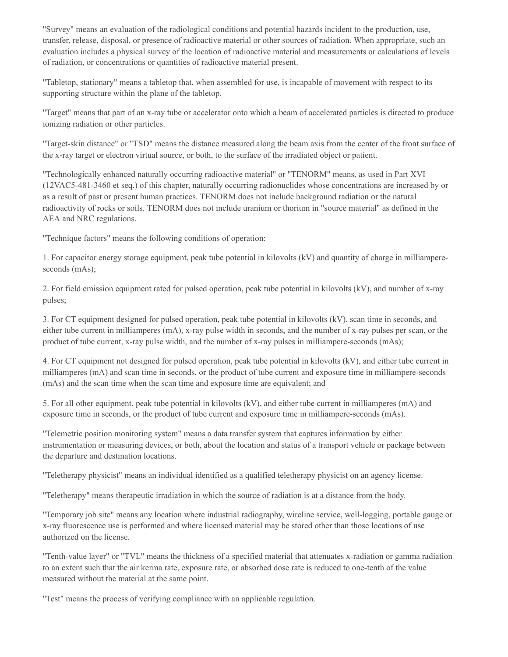"Survey" means an evaluation of the radiological conditions and potential hazards incident to the production, use, transfer, release, disposal, or presence of radioactive material or other sources of radiation. When appropriate, such an evaluation includes a physical survey of the location of radioactive material and measurements or calculations of levels of radiation, or concentrations or quantities of radioactive material present.

"Tabletop, stationary" means a tabletop that, when assembled for use, is incapable of movement with respect to its supporting structure within the plane of the tabletop.

"Target" means that part of an x-ray tube or accelerator onto which a beam of accelerated particles is directed to produce ionizing radiation or other particles.

"Target-skin distance" or "TSD" means the distance measured along the beam axis from the center of the front surface of the x-ray target or electron virtual source, or both, to the surface of the irradiated object or patient.

"Technologically enhanced naturally occurring radioactive material" or "TENORM" means, as used in Part XVI (12VAC5-481-3460 et seq.) of this chapter, naturally occurring radionuclides whose concentrations are increased by or as a result of past or present human practices. TENORM does not include background radiation or the natural radioactivity of rocks or soils. TENORM does not include uranium or thorium in "source material" as defined in the AEA and NRC regulations.

"Technique factors" means the following conditions of operation:

1. For capacitor energy storage equipment, peak tube potential in kilovolts (kV) and quantity of charge in milliampereseconds (mAs);

2. For field emission equipment rated for pulsed operation, peak tube potential in kilovolts (kV), and number of x-ray pulses;

3. For CT equipment designed for pulsed operation, peak tube potential in kilovolts (kV), scan time in seconds, and either tube current in milliamperes (mA), x-ray pulse width in seconds, and the number of x-ray pulses per scan, or the product of tube current, x-ray pulse width, and the number of x-ray pulses in milliampere-seconds (mAs);

4. For CT equipment not designed for pulsed operation, peak tube potential in kilovolts (kV), and either tube current in milliamperes (mA) and scan time in seconds, or the product of tube current and exposure time in milliampere-seconds (mAs) and the scan time when the scan time and exposure time are equivalent; and

5. For all other equipment, peak tube potential in kilovolts (kV), and either tube current in milliamperes (mA) and exposure time in seconds, or the product of tube current and exposure time in milliampere-seconds (mAs).

"Telemetric position monitoring system" means a data transfer system that captures information by either instrumentation or measuring devices, or both, about the location and status of a transport vehicle or package between the departure and destination locations.

"Teletherapy physicist" means an individual identified as a qualified teletherapy physicist on an agency license.

"Teletherapy" means therapeutic irradiation in which the source of radiation is at a distance from the body.

"Temporary job site" means any location where industrial radiography, wireline service, well-logging, portable gauge or x-ray fluorescence use is performed and where licensed material may be stored other than those locations of use authorized on the license.

"Tenth-value layer" or "TVL" means the thickness of a specified material that attenuates x-radiation or gamma radiation to an extent such that the air kerma rate, exposure rate, or absorbed dose rate is reduced to one-tenth of the value measured without the material at the same point.

"Test" means the process of verifying compliance with an applicable regulation.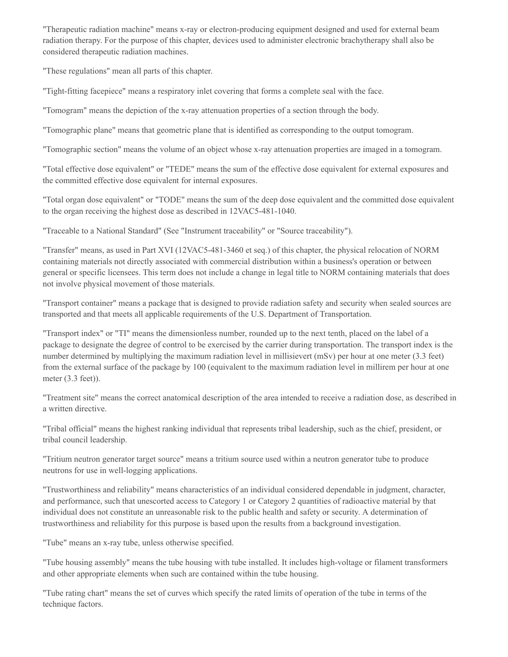"Therapeutic radiation machine" means x-ray or electron-producing equipment designed and used for external beam radiation therapy. For the purpose of this chapter, devices used to administer electronic brachytherapy shall also be considered therapeutic radiation machines.

"These regulations" mean all parts of this chapter.

"Tight-fitting facepiece" means a respiratory inlet covering that forms a complete seal with the face.

"Tomogram" means the depiction of the x-ray attenuation properties of a section through the body.

"Tomographic plane" means that geometric plane that is identified as corresponding to the output tomogram.

"Tomographic section" means the volume of an object whose x-ray attenuation properties are imaged in a tomogram.

"Total effective dose equivalent" or "TEDE" means the sum of the effective dose equivalent for external exposures and the committed effective dose equivalent for internal exposures.

"Total organ dose equivalent" or "TODE" means the sum of the deep dose equivalent and the committed dose equivalent to the organ receiving the highest dose as described in 12VAC5-481-1040.

"Traceable to a National Standard" (See "Instrument traceability" or "Source traceability").

"Transfer" means, as used in Part XVI (12VAC5-481-3460 et seq.) of this chapter, the physical relocation of NORM containing materials not directly associated with commercial distribution within a business's operation or between general or specific licensees. This term does not include a change in legal title to NORM containing materials that does not involve physical movement of those materials.

"Transport container" means a package that is designed to provide radiation safety and security when sealed sources are transported and that meets all applicable requirements of the U.S. Department of Transportation.

"Transport index" or "TI" means the dimensionless number, rounded up to the next tenth, placed on the label of a package to designate the degree of control to be exercised by the carrier during transportation. The transport index is the number determined by multiplying the maximum radiation level in millisievert (mSv) per hour at one meter (3.3 feet) from the external surface of the package by 100 (equivalent to the maximum radiation level in millirem per hour at one meter (3.3 feet)).

"Treatment site" means the correct anatomical description of the area intended to receive a radiation dose, as described in a written directive.

"Tribal official" means the highest ranking individual that represents tribal leadership, such as the chief, president, or tribal council leadership.

"Tritium neutron generator target source" means a tritium source used within a neutron generator tube to produce neutrons for use in well-logging applications.

"Trustworthiness and reliability" means characteristics of an individual considered dependable in judgment, character, and performance, such that unescorted access to Category 1 or Category 2 quantities of radioactive material by that individual does not constitute an unreasonable risk to the public health and safety or security. A determination of trustworthiness and reliability for this purpose is based upon the results from a background investigation.

"Tube" means an x-ray tube, unless otherwise specified.

"Tube housing assembly" means the tube housing with tube installed. It includes high-voltage or filament transformers and other appropriate elements when such are contained within the tube housing.

"Tube rating chart" means the set of curves which specify the rated limits of operation of the tube in terms of the technique factors.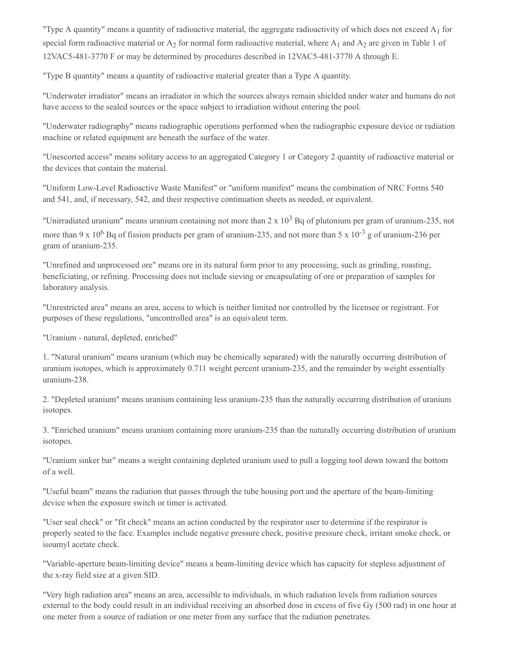"Type A quantity" means a quantity of radioactive material, the aggregate radioactivity of which does not exceed A<sub>1</sub> for special form radioactive material or  $A_2$  for normal form radioactive material, where  $A_1$  and  $A_2$  are given in Table 1 of 12VAC5-481-3770 F or may be determined by procedures described in 12VAC5-481-3770 A through E.

"Type B quantity" means a quantity of radioactive material greater than a Type A quantity.

"Underwater irradiator" means an irradiator in which the sources always remain shielded under water and humans do not have access to the sealed sources or the space subject to irradiation without entering the pool.

"Underwater radiography" means radiographic operations performed when the radiographic exposure device or radiation machine or related equipment are beneath the surface of the water.

"Unescorted access" means solitary access to an aggregated Category 1 or Category 2 quantity of radioactive material or the devices that contain the material.

"Uniform Low-Level Radioactive Waste Manifest" or "uniform manifest" means the combination of NRC Forms 540 and 541, and, if necessary, 542, and their respective continuation sheets as needed, or equivalent.

"Unirradiated uranium" means uranium containing not more than  $2 \times 10^3$  Bq of plutonium per gram of uranium-235, not more than 9 x 10<sup>6</sup> Bq of fission products per gram of uranium-235, and not more than 5 x 10<sup>-3</sup> g of uranium-236 per gram of uranium-235.

"Unrefined and unprocessed ore" means ore in its natural form prior to any processing, such as grinding, roasting, beneficiating, or refining. Processing does not include sieving or encapsulating of ore or preparation of samples for laboratory analysis.

"Unrestricted area" means an area, access to which is neither limited nor controlled by the licensee or registrant. For purposes of these regulations, "uncontrolled area" is an equivalent term.

"Uranium - natural, depleted, enriched"

1. "Natural uranium" means uranium (which may be chemically separated) with the naturally occurring distribution of uranium isotopes, which is approximately 0.711 weight percent uranium-235, and the remainder by weight essentially uranium-238.

2. "Depleted uranium" means uranium containing less uranium-235 than the naturally occurring distribution of uranium isotopes.

3. "Enriched uranium" means uranium containing more uranium-235 than the naturally occurring distribution of uranium isotopes.

"Uranium sinker bar" means a weight containing depleted uranium used to pull a logging tool down toward the bottom of a well.

"Useful beam" means the radiation that passes through the tube housing port and the aperture of the beam-limiting device when the exposure switch or timer is activated.

"User seal check" or "fit check" means an action conducted by the respirator user to determine if the respirator is properly seated to the face. Examples include negative pressure check, positive pressure check, irritant smoke check, or isoamyl acetate check.

"Variable-aperture beam-limiting device" means a beam-limiting device which has capacity for stepless adjustment of the x-ray field size at a given SID.

"Very high radiation area" means an area, accessible to individuals, in which radiation levels from radiation sources external to the body could result in an individual receiving an absorbed dose in excess of five Gy (500 rad) in one hour at one meter from a source of radiation or one meter from any surface that the radiation penetrates.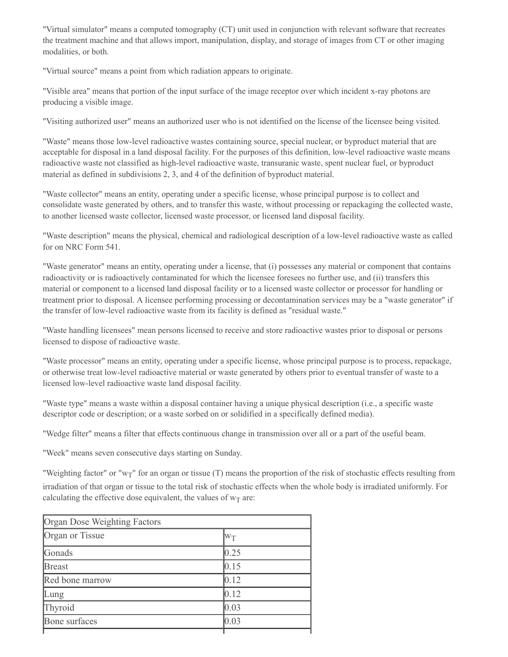"Virtual simulator" means a computed tomography (CT) unit used in conjunction with relevant software that recreates the treatment machine and that allows import, manipulation, display, and storage of images from CT or other imaging modalities, or both.

"Virtual source" means a point from which radiation appears to originate.

"Visible area" means that portion of the input surface of the image receptor over which incident x-ray photons are producing a visible image.

"Visiting authorized user" means an authorized user who is not identified on the license of the licensee being visited.

"Waste" means those low-level radioactive wastes containing source, special nuclear, or byproduct material that are acceptable for disposal in a land disposal facility. For the purposes of this definition, low-level radioactive waste means radioactive waste not classified as high-level radioactive waste, transuranic waste, spent nuclear fuel, or byproduct material as defined in subdivisions 2, 3, and 4 of the definition of byproduct material.

"Waste collector" means an entity, operating under a specific license, whose principal purpose is to collect and consolidate waste generated by others, and to transfer this waste, without processing or repackaging the collected waste, to another licensed waste collector, licensed waste processor, or licensed land disposal facility.

"Waste description" means the physical, chemical and radiological description of a low-level radioactive waste as called for on NRC Form 541.

"Waste generator" means an entity, operating under a license, that (i) possesses any material or component that contains radioactivity or is radioactively contaminated for which the licensee foresees no further use, and (ii) transfers this material or component to a licensed land disposal facility or to a licensed waste collector or processor for handling or treatment prior to disposal. A licensee performing processing or decontamination services may be a "waste generator" if the transfer of low-level radioactive waste from its facility is defined as "residual waste."

"Waste handling licensees" mean persons licensed to receive and store radioactive wastes prior to disposal or persons licensed to dispose of radioactive waste.

"Waste processor" means an entity, operating under a specific license, whose principal purpose is to process, repackage, or otherwise treat low-level radioactive material or waste generated by others prior to eventual transfer of waste to a licensed low-level radioactive waste land disposal facility.

"Waste type" means a waste within a disposal container having a unique physical description (i.e., a specific waste descriptor code or description; or a waste sorbed on or solidified in a specifically defined media).

"Wedge filter" means a filter that effects continuous change in transmission over all or a part of the useful beam.

"Week" means seven consecutive days starting on Sunday.

"Weighting factor" or "w<sub>T</sub>" for an organ or tissue (T) means the proportion of the risk of stochastic effects resulting from irradiation of that organ or tissue to the total risk of stochastic effects when the whole body is irradiated uniformly. For calculating the effective dose equivalent, the values of  $w_T$  are:

| Organ Dose Weighting Factors |                |  |
|------------------------------|----------------|--|
| Organ or Tissue              | $\rm W_T$      |  |
| Gonads                       | 0.25           |  |
| <b>Breast</b>                | 0.15           |  |
| Red bone marrow              | 0.12           |  |
| Lung                         | 0.12           |  |
| Thyroid                      | $ 0.03\rangle$ |  |
| Bone surfaces                | 0.03           |  |
|                              |                |  |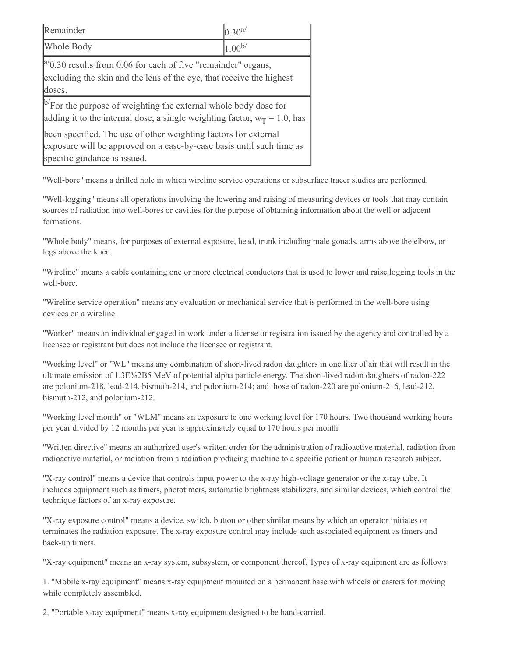| Remainder                                                                                                                                                               | $0.30^{a/}$ |  |
|-------------------------------------------------------------------------------------------------------------------------------------------------------------------------|-------------|--|
| Whole Body                                                                                                                                                              | $1.00^{b/}$ |  |
| $\vert^{a}$ 0.30 results from 0.06 for each of five "remainder" organs,<br>excluding the skin and the lens of the eye, that receive the highest<br>doses.               |             |  |
| $\mathbb{P}^7$ For the purpose of weighting the external whole body dose for<br>adding it to the internal dose, a single weighting factor, $w_T = 1.0$ , has            |             |  |
| been specified. The use of other weighting factors for external<br>exposure will be approved on a case-by-case basis until such time as<br>specific guidance is issued. |             |  |

"Well-bore" means a drilled hole in which wireline service operations or subsurface tracer studies are performed.

"Well-logging" means all operations involving the lowering and raising of measuring devices or tools that may contain sources of radiation into well-bores or cavities for the purpose of obtaining information about the well or adjacent formations.

"Whole body" means, for purposes of external exposure, head, trunk including male gonads, arms above the elbow, or legs above the knee.

"Wireline" means a cable containing one or more electrical conductors that is used to lower and raise logging tools in the well-bore.

"Wireline service operation" means any evaluation or mechanical service that is performed in the well-bore using devices on a wireline.

"Worker" means an individual engaged in work under a license or registration issued by the agency and controlled by a licensee or registrant but does not include the licensee or registrant.

"Working level" or "WL" means any combination of short-lived radon daughters in one liter of air that will result in the ultimate emission of 1.3E%2B5 MeV of potential alpha particle energy. The short-lived radon daughters of radon-222 are polonium-218, lead-214, bismuth-214, and polonium-214; and those of radon-220 are polonium-216, lead-212, bismuth-212, and polonium-212.

"Working level month" or "WLM" means an exposure to one working level for 170 hours. Two thousand working hours per year divided by 12 months per year is approximately equal to 170 hours per month.

"Written directive" means an authorized user's written order for the administration of radioactive material, radiation from radioactive material, or radiation from a radiation producing machine to a specific patient or human research subject.

"X-ray control" means a device that controls input power to the x-ray high-voltage generator or the x-ray tube. It includes equipment such as timers, phototimers, automatic brightness stabilizers, and similar devices, which control the technique factors of an x-ray exposure.

"X-ray exposure control" means a device, switch, button or other similar means by which an operator initiates or terminates the radiation exposure. The x-ray exposure control may include such associated equipment as timers and back-up timers.

"X-ray equipment" means an x-ray system, subsystem, or component thereof. Types of x-ray equipment are as follows:

1. "Mobile x-ray equipment" means x-ray equipment mounted on a permanent base with wheels or casters for moving while completely assembled.

2. "Portable x-ray equipment" means x-ray equipment designed to be hand-carried.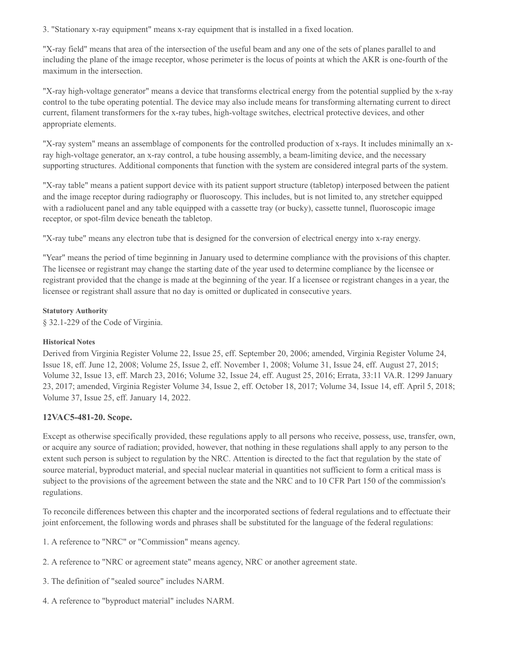3. "Stationary x-ray equipment" means x-ray equipment that is installed in a fixed location.

"X-ray field" means that area of the intersection of the useful beam and any one of the sets of planes parallel to and including the plane of the image receptor, whose perimeter is the locus of points at which the AKR is one-fourth of the maximum in the intersection.

"X-ray high-voltage generator" means a device that transforms electrical energy from the potential supplied by the x-ray control to the tube operating potential. The device may also include means for transforming alternating current to direct current, filament transformers for the x-ray tubes, high-voltage switches, electrical protective devices, and other appropriate elements.

"X-ray system" means an assemblage of components for the controlled production of x-rays. It includes minimally an xray high-voltage generator, an x-ray control, a tube housing assembly, a beam-limiting device, and the necessary supporting structures. Additional components that function with the system are considered integral parts of the system.

"X-ray table" means a patient support device with its patient support structure (tabletop) interposed between the patient and the image receptor during radiography or fluoroscopy. This includes, but is not limited to, any stretcher equipped with a radiolucent panel and any table equipped with a cassette tray (or bucky), cassette tunnel, fluoroscopic image receptor, or spot-film device beneath the tabletop.

"X-ray tube" means any electron tube that is designed for the conversion of electrical energy into x-ray energy.

"Year" means the period of time beginning in January used to determine compliance with the provisions of this chapter. The licensee or registrant may change the starting date of the year used to determine compliance by the licensee or registrant provided that the change is made at the beginning of the year. If a licensee or registrant changes in a year, the licensee or registrant shall assure that no day is omitted or duplicated in consecutive years.

#### **Statutory Authority**

§ 32.1-229 of the Code of Virginia.

# **Historical Notes**

Derived from Virginia Register Volume 22, Issue 25, eff. September 20, 2006; amended, Virginia Register Volume 24, Issue 18, eff. June 12, 2008; Volume 25, Issue 2, eff. November 1, 2008; Volume 31, Issue 24, eff. August 27, 2015; Volume 32, Issue 13, eff. March 23, 2016; Volume 32, Issue 24, eff. August 25, 2016; Errata, 33:11 VA.R. 1299 January 23, 2017; amended, Virginia Register Volume 34, Issue 2, eff. October 18, 2017; Volume 34, Issue 14, eff. April 5, 2018; Volume 37, Issue 25, eff. January 14, 2022.

# **12VAC5-481-20. Scope.**

Except as otherwise specifically provided, these regulations apply to all persons who receive, possess, use, transfer, own, or acquire any source of radiation; provided, however, that nothing in these regulations shall apply to any person to the extent such person is subject to regulation by the NRC. Attention is directed to the fact that regulation by the state of source material, byproduct material, and special nuclear material in quantities not sufficient to form a critical mass is subject to the provisions of the agreement between the state and the NRC and to 10 CFR Part 150 of the commission's regulations.

To reconcile differences between this chapter and the incorporated sections of federal regulations and to effectuate their joint enforcement, the following words and phrases shall be substituted for the language of the federal regulations:

1. A reference to "NRC" or "Commission" means agency.

- 2. A reference to "NRC or agreement state" means agency, NRC or another agreement state.
- 3. The definition of "sealed source" includes NARM.
- 4. A reference to "byproduct material" includes NARM.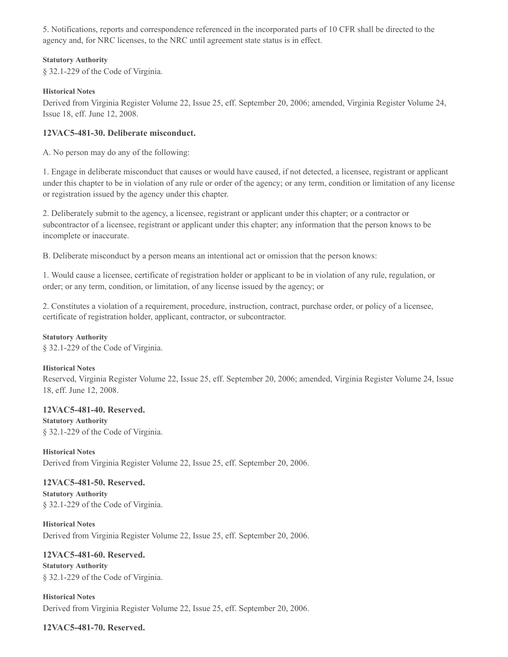5. Notifications, reports and correspondence referenced in the incorporated parts of 10 CFR shall be directed to the agency and, for NRC licenses, to the NRC until agreement state status is in effect.

#### **Statutory Authority**

§ 32.1-229 of the Code of Virginia.

### **Historical Notes**

Derived from Virginia Register Volume 22, Issue 25, eff. September 20, 2006; amended, Virginia Register Volume 24, Issue 18, eff. June 12, 2008.

# **12VAC5-481-30. Deliberate misconduct.**

A. No person may do any of the following:

1. Engage in deliberate misconduct that causes or would have caused, if not detected, a licensee, registrant or applicant under this chapter to be in violation of any rule or order of the agency; or any term, condition or limitation of any license or registration issued by the agency under this chapter.

2. Deliberately submit to the agency, a licensee, registrant or applicant under this chapter; or a contractor or subcontractor of a licensee, registrant or applicant under this chapter; any information that the person knows to be incomplete or inaccurate.

B. Deliberate misconduct by a person means an intentional act or omission that the person knows:

1. Would cause a licensee, certificate of registration holder or applicant to be in violation of any rule, regulation, or order; or any term, condition, or limitation, of any license issued by the agency; or

2. Constitutes a violation of a requirement, procedure, instruction, contract, purchase order, or policy of a licensee, certificate of registration holder, applicant, contractor, or subcontractor.

#### **Statutory Authority**

§ 32.1-229 of the Code of Virginia.

#### **Historical Notes**

Reserved, Virginia Register Volume 22, Issue 25, eff. September 20, 2006; amended, Virginia Register Volume 24, Issue 18, eff. June 12, 2008.

#### **12VAC5-481-40. Reserved.**

**Statutory Authority** § 32.1-229 of the Code of Virginia.

**Historical Notes** Derived from Virginia Register Volume 22, Issue 25, eff. September 20, 2006.

#### **12VAC5-481-50. Reserved.**

**Statutory Authority** § 32.1-229 of the Code of Virginia.

**Historical Notes** Derived from Virginia Register Volume 22, Issue 25, eff. September 20, 2006.

**12VAC5-481-60. Reserved. Statutory Authority** § 32.1-229 of the Code of Virginia.

**Historical Notes** Derived from Virginia Register Volume 22, Issue 25, eff. September 20, 2006.

# **12VAC5-481-70. Reserved.**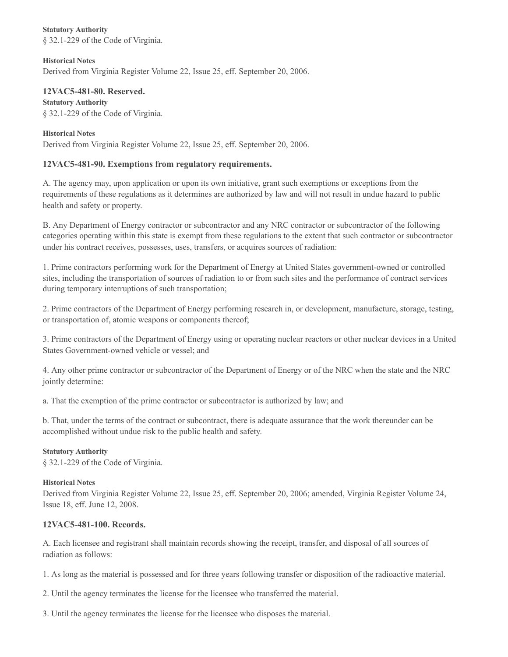**Statutory Authority** § 32.1-229 of the Code of Virginia.

**Historical Notes** Derived from Virginia Register Volume 22, Issue 25, eff. September 20, 2006.

**12VAC5-481-80. Reserved. Statutory Authority** § 32.1-229 of the Code of Virginia.

#### **Historical Notes**

Derived from Virginia Register Volume 22, Issue 25, eff. September 20, 2006.

# **12VAC5-481-90. Exemptions from regulatory requirements.**

A. The agency may, upon application or upon its own initiative, grant such exemptions or exceptions from the requirements of these regulations as it determines are authorized by law and will not result in undue hazard to public health and safety or property.

B. Any Department of Energy contractor or subcontractor and any NRC contractor or subcontractor of the following categories operating within this state is exempt from these regulations to the extent that such contractor or subcontractor under his contract receives, possesses, uses, transfers, or acquires sources of radiation:

1. Prime contractors performing work for the Department of Energy at United States government-owned or controlled sites, including the transportation of sources of radiation to or from such sites and the performance of contract services during temporary interruptions of such transportation;

2. Prime contractors of the Department of Energy performing research in, or development, manufacture, storage, testing, or transportation of, atomic weapons or components thereof;

3. Prime contractors of the Department of Energy using or operating nuclear reactors or other nuclear devices in a United States Government-owned vehicle or vessel; and

4. Any other prime contractor or subcontractor of the Department of Energy or of the NRC when the state and the NRC jointly determine:

a. That the exemption of the prime contractor or subcontractor is authorized by law; and

b. That, under the terms of the contract or subcontract, there is adequate assurance that the work thereunder can be accomplished without undue risk to the public health and safety.

#### **Statutory Authority**

§ 32.1-229 of the Code of Virginia.

#### **Historical Notes**

Derived from Virginia Register Volume 22, Issue 25, eff. September 20, 2006; amended, Virginia Register Volume 24, Issue 18, eff. June 12, 2008.

# **12VAC5-481-100. Records.**

A. Each licensee and registrant shall maintain records showing the receipt, transfer, and disposal of all sources of radiation as follows:

1. As long as the material is possessed and for three years following transfer or disposition of the radioactive material.

2. Until the agency terminates the license for the licensee who transferred the material.

3. Until the agency terminates the license for the licensee who disposes the material.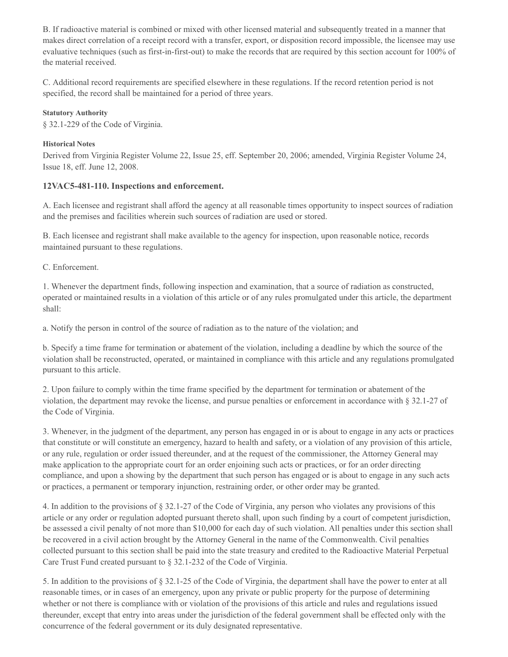B. If radioactive material is combined or mixed with other licensed material and subsequently treated in a manner that makes direct correlation of a receipt record with a transfer, export, or disposition record impossible, the licensee may use evaluative techniques (such as first-in-first-out) to make the records that are required by this section account for 100% of the material received.

C. Additional record requirements are specified elsewhere in these regulations. If the record retention period is not specified, the record shall be maintained for a period of three years.

# **Statutory Authority**

§ 32.1-229 of the Code of Virginia.

### **Historical Notes**

Derived from Virginia Register Volume 22, Issue 25, eff. September 20, 2006; amended, Virginia Register Volume 24, Issue 18, eff. June 12, 2008.

### **12VAC5-481-110. Inspections and enforcement.**

A. Each licensee and registrant shall afford the agency at all reasonable times opportunity to inspect sources of radiation and the premises and facilities wherein such sources of radiation are used or stored.

B. Each licensee and registrant shall make available to the agency for inspection, upon reasonable notice, records maintained pursuant to these regulations.

C. Enforcement.

1. Whenever the department finds, following inspection and examination, that a source of radiation as constructed, operated or maintained results in a violation of this article or of any rules promulgated under this article, the department shall:

a. Notify the person in control of the source of radiation as to the nature of the violation; and

b. Specify a time frame for termination or abatement of the violation, including a deadline by which the source of the violation shall be reconstructed, operated, or maintained in compliance with this article and any regulations promulgated pursuant to this article.

2. Upon failure to comply within the time frame specified by the department for termination or abatement of the violation, the department may revoke the license, and pursue penalties or enforcement in accordance with § 32.1-27 of the Code of Virginia.

3. Whenever, in the judgment of the department, any person has engaged in or is about to engage in any acts or practices that constitute or will constitute an emergency, hazard to health and safety, or a violation of any provision of this article, or any rule, regulation or order issued thereunder, and at the request of the commissioner, the Attorney General may make application to the appropriate court for an order enjoining such acts or practices, or for an order directing compliance, and upon a showing by the department that such person has engaged or is about to engage in any such acts or practices, a permanent or temporary injunction, restraining order, or other order may be granted.

4. In addition to the provisions of § 32.1-27 of the Code of Virginia, any person who violates any provisions of this article or any order or regulation adopted pursuant thereto shall, upon such finding by a court of competent jurisdiction, be assessed a civil penalty of not more than \$10,000 for each day of such violation. All penalties under this section shall be recovered in a civil action brought by the Attorney General in the name of the Commonwealth. Civil penalties collected pursuant to this section shall be paid into the state treasury and credited to the Radioactive Material Perpetual Care Trust Fund created pursuant to § 32.1-232 of the Code of Virginia.

5. In addition to the provisions of § 32.1-25 of the Code of Virginia, the department shall have the power to enter at all reasonable times, or in cases of an emergency, upon any private or public property for the purpose of determining whether or not there is compliance with or violation of the provisions of this article and rules and regulations issued thereunder, except that entry into areas under the jurisdiction of the federal government shall be effected only with the concurrence of the federal government or its duly designated representative.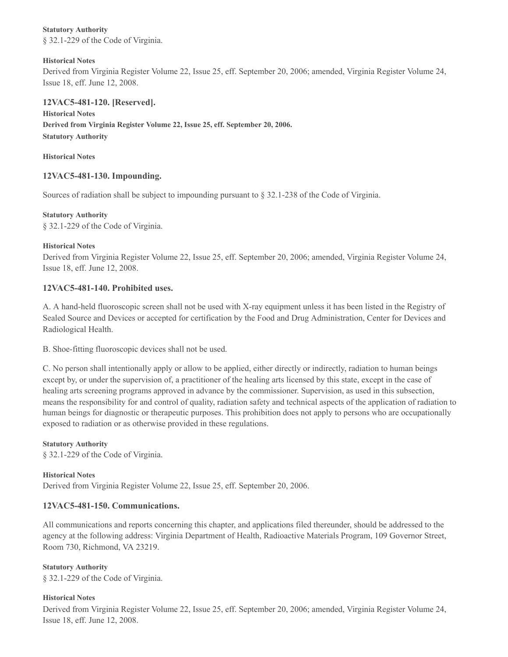**Statutory Authority** § 32.1-229 of the Code of Virginia.

## **Historical Notes**

Derived from Virginia Register Volume 22, Issue 25, eff. September 20, 2006; amended, Virginia Register Volume 24, Issue 18, eff. June 12, 2008.

# **12VAC5-481-120. [Reserved].**

**Historical Notes Derived from Virginia Register Volume 22, Issue 25, eff. September 20, 2006. Statutory Authority**

**Historical Notes**

# **12VAC5-481-130. Impounding.**

Sources of radiation shall be subject to impounding pursuant to § 32.1-238 of the Code of Virginia.

**Statutory Authority** § 32.1-229 of the Code of Virginia.

### **Historical Notes**

Derived from Virginia Register Volume 22, Issue 25, eff. September 20, 2006; amended, Virginia Register Volume 24, Issue 18, eff. June 12, 2008.

# **12VAC5-481-140. Prohibited uses.**

A. A hand-held fluoroscopic screen shall not be used with X-ray equipment unless it has been listed in the Registry of Sealed Source and Devices or accepted for certification by the Food and Drug Administration, Center for Devices and Radiological Health.

B. Shoe-fitting fluoroscopic devices shall not be used.

C. No person shall intentionally apply or allow to be applied, either directly or indirectly, radiation to human beings except by, or under the supervision of, a practitioner of the healing arts licensed by this state, except in the case of healing arts screening programs approved in advance by the commissioner. Supervision, as used in this subsection, means the responsibility for and control of quality, radiation safety and technical aspects of the application of radiation to human beings for diagnostic or therapeutic purposes. This prohibition does not apply to persons who are occupationally exposed to radiation or as otherwise provided in these regulations.

#### **Statutory Authority**

§ 32.1-229 of the Code of Virginia.

#### **Historical Notes** Derived from Virginia Register Volume 22, Issue 25, eff. September 20, 2006.

# **12VAC5-481-150. Communications.**

All communications and reports concerning this chapter, and applications filed thereunder, should be addressed to the agency at the following address: Virginia Department of Health, Radioactive Materials Program, 109 Governor Street, Room 730, Richmond, VA 23219.

**Statutory Authority** § 32.1-229 of the Code of Virginia.

# **Historical Notes**

Derived from Virginia Register Volume 22, Issue 25, eff. September 20, 2006; amended, Virginia Register Volume 24, Issue 18, eff. June 12, 2008.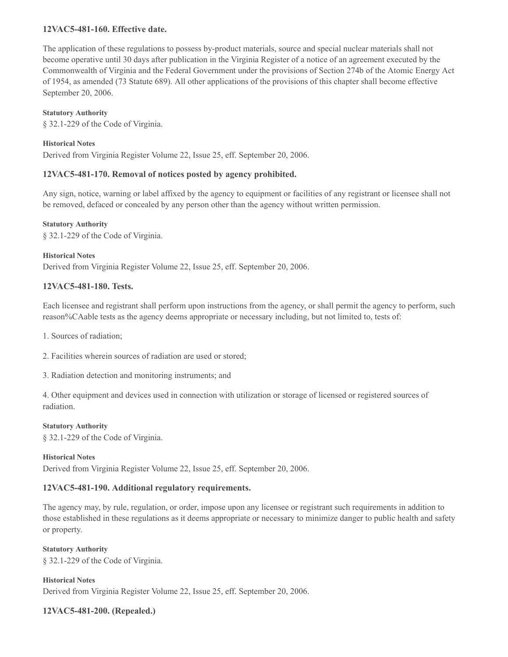# **12VAC5-481-160. Effective date.**

The application of these regulations to possess by-product materials, source and special nuclear materials shall not become operative until 30 days after publication in the Virginia Register of a notice of an agreement executed by the Commonwealth of Virginia and the Federal Government under the provisions of Section 274b of the Atomic Energy Act of 1954, as amended (73 Statute 689). All other applications of the provisions of this chapter shall become effective September 20, 2006.

### **Statutory Authority**

§ 32.1-229 of the Code of Virginia.

# **Historical Notes**

Derived from Virginia Register Volume 22, Issue 25, eff. September 20, 2006.

# **12VAC5-481-170. Removal of notices posted by agency prohibited.**

Any sign, notice, warning or label affixed by the agency to equipment or facilities of any registrant or licensee shall not be removed, defaced or concealed by any person other than the agency without written permission.

#### **Statutory Authority**

§ 32.1-229 of the Code of Virginia.

**Historical Notes** Derived from Virginia Register Volume 22, Issue 25, eff. September 20, 2006.

# **12VAC5-481-180. Tests.**

Each licensee and registrant shall perform upon instructions from the agency, or shall permit the agency to perform, such reason%CAable tests as the agency deems appropriate or necessary including, but not limited to, tests of:

1. Sources of radiation;

- 2. Facilities wherein sources of radiation are used or stored;
- 3. Radiation detection and monitoring instruments; and

4. Other equipment and devices used in connection with utilization or storage of licensed or registered sources of radiation.

#### **Statutory Authority**

§ 32.1-229 of the Code of Virginia.

#### **Historical Notes**

Derived from Virginia Register Volume 22, Issue 25, eff. September 20, 2006.

# **12VAC5-481-190. Additional regulatory requirements.**

The agency may, by rule, regulation, or order, impose upon any licensee or registrant such requirements in addition to those established in these regulations as it deems appropriate or necessary to minimize danger to public health and safety or property.

**Statutory Authority** § 32.1-229 of the Code of Virginia.

**Historical Notes** Derived from Virginia Register Volume 22, Issue 25, eff. September 20, 2006.

**12VAC5-481-200. (Repealed.)**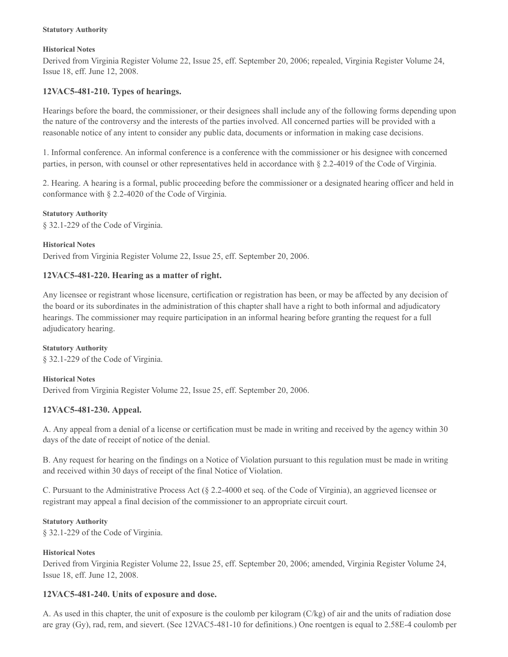#### **Statutory Authority**

#### **Historical Notes**

Derived from Virginia Register Volume 22, Issue 25, eff. September 20, 2006; repealed, Virginia Register Volume 24, Issue 18, eff. June 12, 2008.

# **12VAC5-481-210. Types of hearings.**

Hearings before the board, the commissioner, or their designees shall include any of the following forms depending upon the nature of the controversy and the interests of the parties involved. All concerned parties will be provided with a reasonable notice of any intent to consider any public data, documents or information in making case decisions.

1. Informal conference. An informal conference is a conference with the commissioner or his designee with concerned parties, in person, with counsel or other representatives held in accordance with § 2.2-4019 of the Code of Virginia.

2. Hearing. A hearing is a formal, public proceeding before the commissioner or a designated hearing officer and held in conformance with § 2.2-4020 of the Code of Virginia.

**Statutory Authority** § 32.1-229 of the Code of Virginia.

#### **Historical Notes**

Derived from Virginia Register Volume 22, Issue 25, eff. September 20, 2006.

# **12VAC5-481-220. Hearing as a matter of right.**

Any licensee or registrant whose licensure, certification or registration has been, or may be affected by any decision of the board or its subordinates in the administration of this chapter shall have a right to both informal and adjudicatory hearings. The commissioner may require participation in an informal hearing before granting the request for a full adjudicatory hearing.

**Statutory Authority** § 32.1-229 of the Code of Virginia.

#### **Historical Notes**

Derived from Virginia Register Volume 22, Issue 25, eff. September 20, 2006.

# **12VAC5-481-230. Appeal.**

A. Any appeal from a denial of a license or certification must be made in writing and received by the agency within 30 days of the date of receipt of notice of the denial.

B. Any request for hearing on the findings on a Notice of Violation pursuant to this regulation must be made in writing and received within 30 days of receipt of the final Notice of Violation.

C. Pursuant to the Administrative Process Act (§ 2.2-4000 et seq. of the Code of Virginia), an aggrieved licensee or registrant may appeal a final decision of the commissioner to an appropriate circuit court.

#### **Statutory Authority**

§ 32.1-229 of the Code of Virginia.

#### **Historical Notes**

Derived from Virginia Register Volume 22, Issue 25, eff. September 20, 2006; amended, Virginia Register Volume 24, Issue 18, eff. June 12, 2008.

#### **12VAC5-481-240. Units of exposure and dose.**

A. As used in this chapter, the unit of exposure is the coulomb per kilogram (C/kg) of air and the units of radiation dose are gray (Gy), rad, rem, and sievert. (See 12VAC5-481-10 for definitions.) One roentgen is equal to 2.58E-4 coulomb per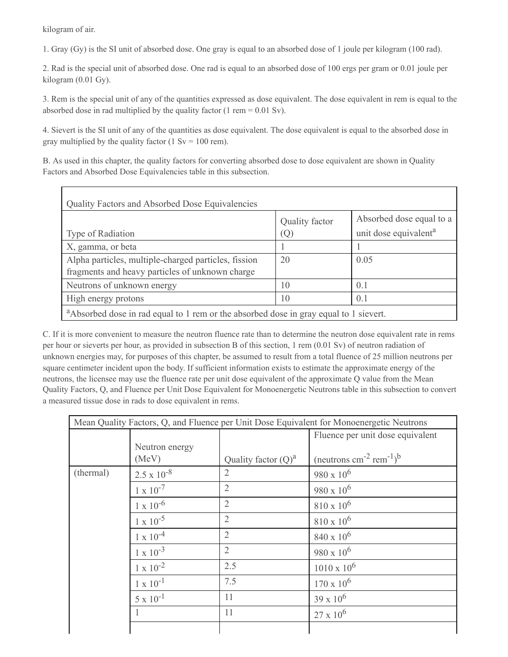kilogram of air.

1. Gray (Gy) is the SI unit of absorbed dose. One gray is equal to an absorbed dose of 1 joule per kilogram (100 rad).

2. Rad is the special unit of absorbed dose. One rad is equal to an absorbed dose of 100 ergs per gram or 0.01 joule per kilogram (0.01 Gy).

3. Rem is the special unit of any of the quantities expressed as dose equivalent. The dose equivalent in rem is equal to the absorbed dose in rad multiplied by the quality factor (1 rem  $= 0.01$  Sv).

4. Sievert is the SI unit of any of the quantities as dose equivalent. The dose equivalent is equal to the absorbed dose in gray multiplied by the quality factor (1 Sv = 100 rem).

B. As used in this chapter, the quality factors for converting absorbed dose to dose equivalent are shown in Quality Factors and Absorbed Dose Equivalencies table in this subsection.

| Type of Radiation                                                                                       | Quality factor<br>(Q) | Absorbed dose equal to a<br>unit dose equivalent <sup>a</sup> |
|---------------------------------------------------------------------------------------------------------|-----------------------|---------------------------------------------------------------|
| X, gamma, or beta                                                                                       |                       |                                                               |
| Alpha particles, multiple-charged particles, fission<br>fragments and heavy particles of unknown charge | 20                    | 0.05                                                          |
| Neutrons of unknown energy                                                                              | 10                    | 0.1                                                           |
| High energy protons                                                                                     | 10                    | 0.1                                                           |

C. If it is more convenient to measure the neutron fluence rate than to determine the neutron dose equivalent rate in rems per hour or sieverts per hour, as provided in subsection B of this section, 1 rem (0.01 Sv) of neutron radiation of unknown energies may, for purposes of this chapter, be assumed to result from a total fluence of 25 million neutrons per square centimeter incident upon the body. If sufficient information exists to estimate the approximate energy of the neutrons, the licensee may use the fluence rate per unit dose equivalent of the approximate Q value from the Mean Quality Factors, Q, and Fluence per Unit Dose Equivalent for Monoenergetic Neutrons table in this subsection to convert a measured tissue dose in rads to dose equivalent in rems.

| Mean Quality Factors, Q, and Fluence per Unit Dose Equivalent for Monoenergetic Neutrons |                      |                        |                                                            |  |
|------------------------------------------------------------------------------------------|----------------------|------------------------|------------------------------------------------------------|--|
|                                                                                          |                      |                        | Fluence per unit dose equivalent                           |  |
|                                                                                          | Neutron energy       |                        |                                                            |  |
|                                                                                          | (MeV)                | Quality factor $(Q)^a$ | (neutrons $\text{cm}^{-2} \text{ rem}^{-1}$ ) <sup>b</sup> |  |
| (thermal)                                                                                | $2.5 \times 10^{-8}$ | $\overline{2}$         | $980 \times 10^6$                                          |  |
|                                                                                          | $1 \times 10^{-7}$   | $\overline{2}$         | 980 x $10^6$                                               |  |
|                                                                                          | $1 \times 10^{-6}$   | $\overline{2}$         | $810 \times 10^6$                                          |  |
|                                                                                          | $1 \times 10^{-5}$   | $\overline{2}$         | $810 \times 10^6$                                          |  |
|                                                                                          | $1 \times 10^{-4}$   | $\overline{2}$         | $840 \times 10^6$                                          |  |
|                                                                                          | $1 \times 10^{-3}$   | $\overline{2}$         | $980 \times 10^6$                                          |  |
|                                                                                          | $1 \times 10^{-2}$   | 2.5                    | $1010 \times 10^6$                                         |  |
|                                                                                          | $1 \times 10^{-1}$   | 7.5                    | $170 \times 10^6$                                          |  |
|                                                                                          | $5 \times 10^{-1}$   | 11                     | $39 \times 10^6$                                           |  |
|                                                                                          |                      | 11                     | $27 \times 10^6$                                           |  |
|                                                                                          |                      |                        |                                                            |  |